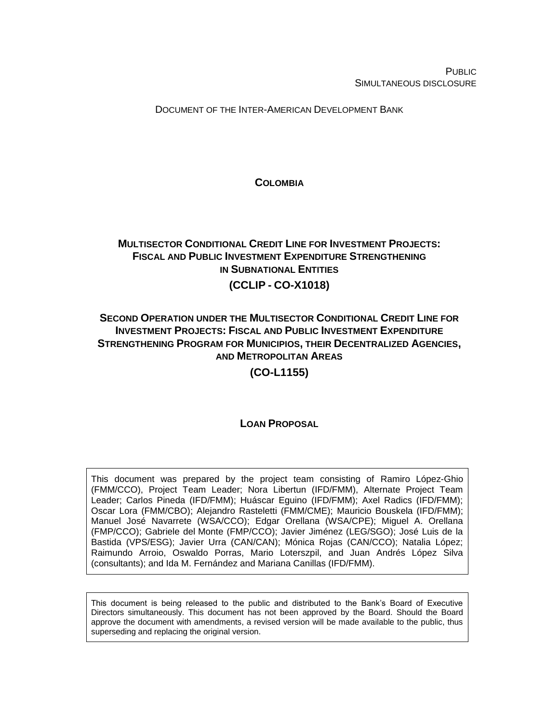PUBLIC SIMULTANEOUS DISCLOSURE

DOCUMENT OF THE INTER-AMERICAN DEVELOPMENT BANK

## **COLOMBIA**

# **MULTISECTOR CONDITIONAL CREDIT LINE FOR INVESTMENT PROJECTS: FISCAL AND PUBLIC INVESTMENT EXPENDITURE STRENGTHENING IN SUBNATIONAL ENTITIES**

# **(CCLIP - CO-X1018)**

# **SECOND OPERATION UNDER THE MULTISECTOR CONDITIONAL CREDIT LINE FOR INVESTMENT PROJECTS: FISCAL AND PUBLIC INVESTMENT EXPENDITURE STRENGTHENING PROGRAM FOR MUNICIPIOS, THEIR DECENTRALIZED AGENCIES, AND METROPOLITAN AREAS**

**(CO-L1155)**

## **LOAN PROPOSAL**

This document was prepared by the project team consisting of Ramiro López-Ghio (FMM/CCO), Project Team Leader; Nora Libertun (IFD/FMM), Alternate Project Team Leader; Carlos Pineda (IFD/FMM); Huáscar Eguino (IFD/FMM); Axel Radics (IFD/FMM); Oscar Lora (FMM/CBO); Alejandro Rasteletti (FMM/CME); Mauricio Bouskela (IFD/FMM); Manuel José Navarrete (WSA/CCO); Edgar Orellana (WSA/CPE); Miguel A. Orellana (FMP/CCO); Gabriele del Monte (FMP/CCO); Javier Jiménez (LEG/SGO); José Luis de la Bastida (VPS/ESG); Javier Urra (CAN/CAN); Mónica Rojas (CAN/CCO); Natalia López; Raimundo Arroio, Oswaldo Porras, Mario Loterszpil, and Juan Andrés López Silva (consultants); and Ida M. Fernández and Mariana Canillas (IFD/FMM).

This document is being released to the public and distributed to the Bank's Board of Executive Directors simultaneously. This document has not been approved by the Board. Should the Board approve the document with amendments, a revised version will be made available to the public, thus superseding and replacing the original version.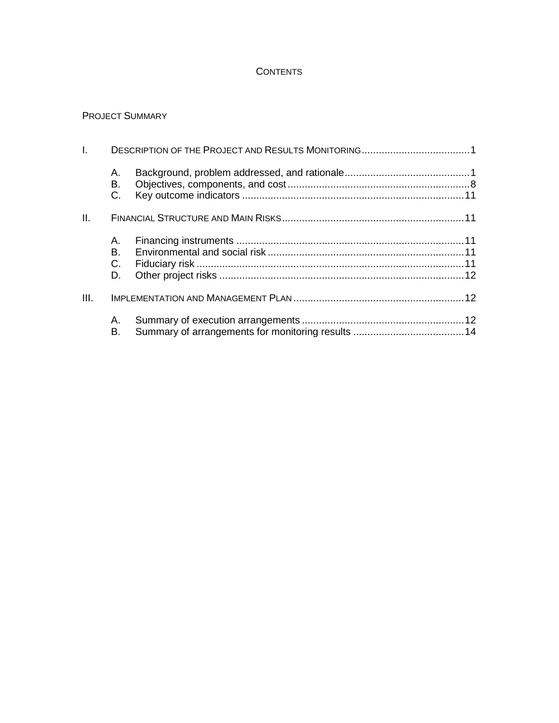## **CONTENTS**

# PROJECT SUMMARY

| I.   |                      |  |  |  |  |  |  |
|------|----------------------|--|--|--|--|--|--|
|      | А.<br>В.<br>C.       |  |  |  |  |  |  |
| Ш.   |                      |  |  |  |  |  |  |
|      | А.<br>В.<br>C.<br>D. |  |  |  |  |  |  |
| III. |                      |  |  |  |  |  |  |
|      | А.<br>В.             |  |  |  |  |  |  |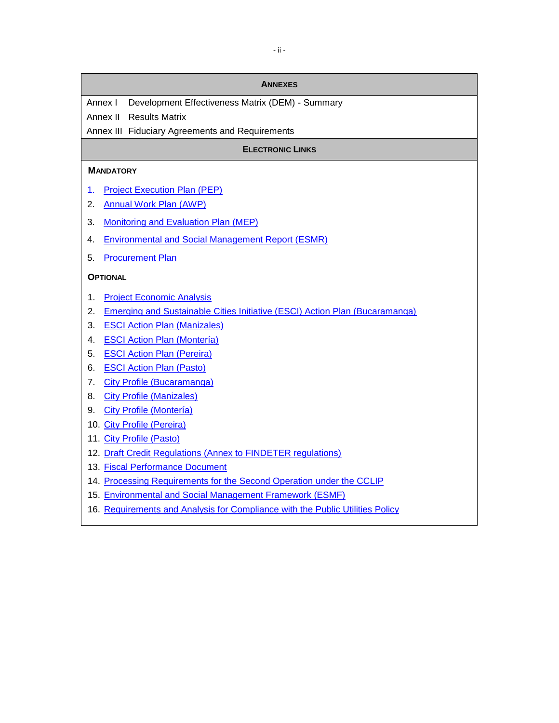#### **ANNEXES**

Annex I Development Effectiveness Matrix (DEM) - Summary

Annex II Results Matrix

Annex III Fiduciary Agreements and Requirements

### **ELECTRONIC LINKS**

#### **MANDATORY**

- 1. [Project Execution Plan \(PEP\)](http://idbdocs.iadb.org/wsdocs/getDocument.aspx?DOCNUM=39825249)
- 2. [Annual Work Plan \(AWP\)](http://idbdocs.iadb.org/wsdocs/getDocument.aspx?DOCNUM=39825249)
- 3. [Monitoring and Evaluation Plan \(MEP\)](http://idbdocs.iadb.org/wsdocs/getDocument.aspx?DOCNUM=39825152)
- 4. [Environmental and Social Management Report \(ESMR\)](http://idbdocs.iadb.org/wsdocs/getDocument.aspx?DOCNUM=39825197)
- 5. [Procurement Plan](http://idbdocs.iadb.org/wsdocs/getDocument.aspx?DOCNUM=39825231)

#### **OPTIONAL**

- 1. [Project Economic Analysis](http://idbdocs.iadb.org/wsdocs/getDocument.aspx?DOCNUM=39825146)
- 2. [Emerging and Sustainable Cities Initiative \(ESCI\) Action Plan \(Bucaramanga\)](http://idbdocs.iadb.org/wsdocs/getDocument.aspx?DOCNUM=39823131)
- 3. [ESCI Action Plan](http://idbdocs.iadb.org/wsdocs/getDocument.aspx?DOCNUM=39823179) (Manizales)
- 4. [ESCI Action Plan \(Montería\)](http://idbdocs.iadb.org/wsdocs/getDocument.aspx?DOCNUM=39823212)
- 5. [ESCI Action Plan \(Pereira\)](http://idbdocs.iadb.org/wsdocs/getDocument.aspx?DOCNUM=39823200)
- 6. [ESCI Action Plan \(Pasto\)](http://idbdocs.iadb.org/wsdocs/getDocument.aspx?DOCNUM=39823216)
- 7. [City Profile \(Bucaramanga\)](http://idbdocs.iadb.org/wsdocs/getDocument.aspx?DOCNUM=39809978)
- 8. [City Profile \(Manizales\)](http://idbdocs.iadb.org/wsdocs/getDocument.aspx?DOCNUM=39809982)
- 9. [City Profile \(Montería\)](http://idbdocs.iadb.org/wsdocs/getDocument.aspx?DOCNUM=39810002)
- 10. [City Profile \(Pereira\)](http://idbdocs.iadb.org/wsdocs/getDocument.aspx?DOCNUM=39810006)
- 11. [City Profile \(Pasto\)](http://idbdocs.iadb.org/wsdocs/getDocument.aspx?DOCNUM=39828174)
- 12. [Draft Credit Regulations \(Annex to FINDETER regulations\)](http://idbdocs.iadb.org/wsdocs/getDocument.aspx?DOCNUM=39828328)
- 13. [Fiscal Performance Document](http://idbdocs.iadb.org/wsdocs/getDocument.aspx?DOCNUM=39853278)
- 14. [Processing Requirements for the Second Operation](http://idbdocs.iadb.org/wsdocs/getDocument.aspx?DOCNUM=39901873) under the CCLIP
- 15. [Environmental and Social Management Framework \(ESMF\)](http://idbdocs.iadb.org/wsdocs/getDocument.aspx?DOCNUM=39907681)
- 16. [Requirements and Analysis for Compliance with the Public Utilities Policy](http://idbdocs.iadb.org/wsdocs/getDocument.aspx?DOCNUM=39948300)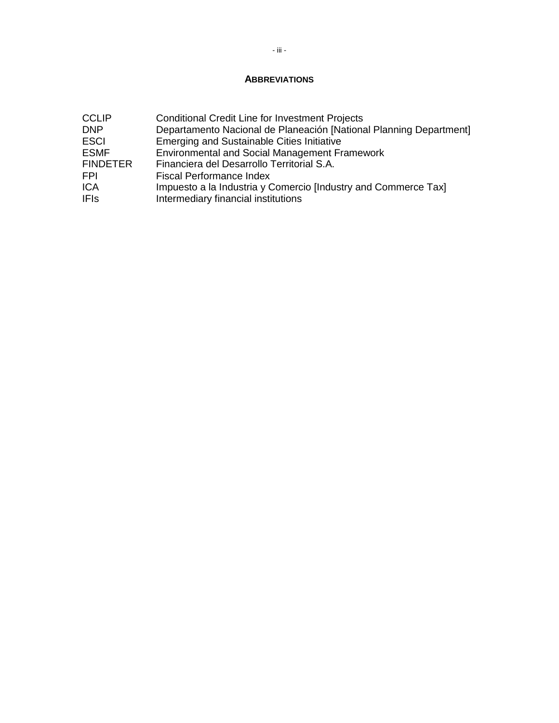### **ABBREVIATIONS**

| <b>CCLIP</b>    | <b>Conditional Credit Line for Investment Projects</b>             |
|-----------------|--------------------------------------------------------------------|
| <b>DNP</b>      | Departamento Nacional de Planeación [National Planning Department] |
| <b>ESCI</b>     | Emerging and Sustainable Cities Initiative                         |
| ESMF            | <b>Environmental and Social Management Framework</b>               |
| <b>FINDETER</b> | Financiera del Desarrollo Territorial S.A.                         |
| FPI             | <b>Fiscal Performance Index</b>                                    |
| <b>ICA</b>      | Impuesto a la Industria y Comercio [Industry and Commerce Tax]     |
| <b>IFIs</b>     | Intermediary financial institutions                                |
|                 |                                                                    |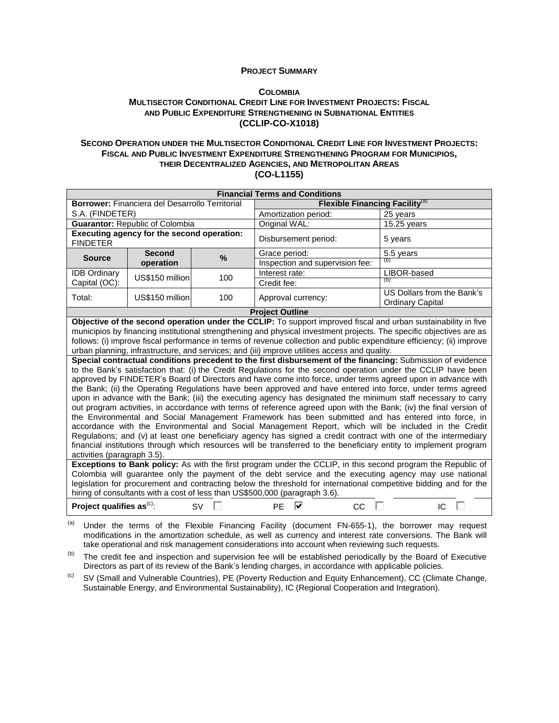#### **PROJECT SUMMARY**

#### **COLOMBIA MULTISECTOR CONDITIONAL CREDIT LINE FOR INVESTMENT PROJECTS: FISCAL AND PUBLIC EXPENDITURE STRENGTHENING IN SUBNATIONAL ENTITIES (CCLIP-CO-X1018)**

#### **SECOND OPERATION UNDER THE MULTISECTOR CONDITIONAL CREDIT LINE FOR INVESTMENT PROJECTS: FISCAL AND PUBLIC INVESTMENT EXPENDITURE STRENGTHENING PROGRAM FOR MUNICIPIOS, THEIR DECENTRALIZED AGENCIES, AND METROPOLITAN AREAS (CO-L1155)**

| <b>Financial Terms and Conditions</b>                                                                                                                                                                                                                                                                                                                                                                                                                                                                                                                                                                                                                                                                                                                                                                                                                                                                                                                                                                                                                                                                                                                                                                                                                                                                                                                                                                                                                                                                                                                                                                                                                                                  |                                                        |           |                                                   |                                                       |  |  |  |  |  |
|----------------------------------------------------------------------------------------------------------------------------------------------------------------------------------------------------------------------------------------------------------------------------------------------------------------------------------------------------------------------------------------------------------------------------------------------------------------------------------------------------------------------------------------------------------------------------------------------------------------------------------------------------------------------------------------------------------------------------------------------------------------------------------------------------------------------------------------------------------------------------------------------------------------------------------------------------------------------------------------------------------------------------------------------------------------------------------------------------------------------------------------------------------------------------------------------------------------------------------------------------------------------------------------------------------------------------------------------------------------------------------------------------------------------------------------------------------------------------------------------------------------------------------------------------------------------------------------------------------------------------------------------------------------------------------------|--------------------------------------------------------|-----------|---------------------------------------------------|-------------------------------------------------------|--|--|--|--|--|
|                                                                                                                                                                                                                                                                                                                                                                                                                                                                                                                                                                                                                                                                                                                                                                                                                                                                                                                                                                                                                                                                                                                                                                                                                                                                                                                                                                                                                                                                                                                                                                                                                                                                                        | <b>Borrower: Financiera del Desarrollo Territorial</b> |           | <b>Flexible Financing Facility</b> <sup>(a)</sup> |                                                       |  |  |  |  |  |
| S.A. (FINDETER)                                                                                                                                                                                                                                                                                                                                                                                                                                                                                                                                                                                                                                                                                                                                                                                                                                                                                                                                                                                                                                                                                                                                                                                                                                                                                                                                                                                                                                                                                                                                                                                                                                                                        |                                                        |           | Amortization period:                              | 25 years                                              |  |  |  |  |  |
|                                                                                                                                                                                                                                                                                                                                                                                                                                                                                                                                                                                                                                                                                                                                                                                                                                                                                                                                                                                                                                                                                                                                                                                                                                                                                                                                                                                                                                                                                                                                                                                                                                                                                        | <b>Guarantor: Republic of Colombia</b>                 |           | Original WAL:                                     | 15.25 years                                           |  |  |  |  |  |
| <b>FINDETER</b>                                                                                                                                                                                                                                                                                                                                                                                                                                                                                                                                                                                                                                                                                                                                                                                                                                                                                                                                                                                                                                                                                                                                                                                                                                                                                                                                                                                                                                                                                                                                                                                                                                                                        | Executing agency for the second operation:             |           | Disbursement period:                              | 5 years                                               |  |  |  |  |  |
| <b>Source</b>                                                                                                                                                                                                                                                                                                                                                                                                                                                                                                                                                                                                                                                                                                                                                                                                                                                                                                                                                                                                                                                                                                                                                                                                                                                                                                                                                                                                                                                                                                                                                                                                                                                                          | <b>Second</b>                                          | %         | Grace period:                                     | 5.5 years                                             |  |  |  |  |  |
|                                                                                                                                                                                                                                                                                                                                                                                                                                                                                                                                                                                                                                                                                                                                                                                                                                                                                                                                                                                                                                                                                                                                                                                                                                                                                                                                                                                                                                                                                                                                                                                                                                                                                        | operation                                              |           | Inspection and supervision fee:                   | (b)                                                   |  |  |  |  |  |
| <b>IDB Ordinary</b>                                                                                                                                                                                                                                                                                                                                                                                                                                                                                                                                                                                                                                                                                                                                                                                                                                                                                                                                                                                                                                                                                                                                                                                                                                                                                                                                                                                                                                                                                                                                                                                                                                                                    | US\$150 million                                        | 100       | Interest rate:                                    | LIBOR-based                                           |  |  |  |  |  |
| Capital (OC):                                                                                                                                                                                                                                                                                                                                                                                                                                                                                                                                                                                                                                                                                                                                                                                                                                                                                                                                                                                                                                                                                                                                                                                                                                                                                                                                                                                                                                                                                                                                                                                                                                                                          |                                                        |           | Credit fee:                                       | (b)                                                   |  |  |  |  |  |
| Total:                                                                                                                                                                                                                                                                                                                                                                                                                                                                                                                                                                                                                                                                                                                                                                                                                                                                                                                                                                                                                                                                                                                                                                                                                                                                                                                                                                                                                                                                                                                                                                                                                                                                                 | US\$150 million                                        | 100       | Approval currency:                                | US Dollars from the Bank's<br><b>Ordinary Capital</b> |  |  |  |  |  |
|                                                                                                                                                                                                                                                                                                                                                                                                                                                                                                                                                                                                                                                                                                                                                                                                                                                                                                                                                                                                                                                                                                                                                                                                                                                                                                                                                                                                                                                                                                                                                                                                                                                                                        |                                                        |           |                                                   |                                                       |  |  |  |  |  |
| <b>Project Outline</b><br>Objective of the second operation under the CCLIP: To support improved fiscal and urban sustainability in five<br>municipios by financing institutional strengthening and physical investment projects. The specific objectives are as<br>follows: (i) improve fiscal performance in terms of revenue collection and public expenditure efficiency; (ii) improve<br>urban planning, infrastructure, and services; and (iii) improve utilities access and quality.<br>Special contractual conditions precedent to the first disbursement of the financing: Submission of evidence<br>to the Bank's satisfaction that: (i) the Credit Regulations for the second operation under the CCLIP have been<br>approved by FINDETER's Board of Directors and have come into force, under terms agreed upon in advance with<br>the Bank; (ii) the Operating Regulations have been approved and have entered into force, under terms agreed<br>upon in advance with the Bank; (iii) the executing agency has designated the minimum staff necessary to carry<br>out program activities, in accordance with terms of reference agreed upon with the Bank; (iv) the final version of<br>the Environmental and Social Management Framework has been submitted and has entered into force, in<br>accordance with the Environmental and Social Management Report, which will be included in the Credit<br>Regulations; and (v) at least one beneficiary agency has signed a credit contract with one of the intermediary<br>financial institutions through which resources will be transferred to the beneficiary entity to implement program<br>activities (paragraph 3.5). |                                                        |           |                                                   |                                                       |  |  |  |  |  |
| Exceptions to Bank policy: As with the first program under the CCLIP, in this second program the Republic of<br>Colombia will guarantee only the payment of the debt service and the executing agency may use national                                                                                                                                                                                                                                                                                                                                                                                                                                                                                                                                                                                                                                                                                                                                                                                                                                                                                                                                                                                                                                                                                                                                                                                                                                                                                                                                                                                                                                                                 |                                                        |           |                                                   |                                                       |  |  |  |  |  |
| legislation for procurement and contracting below the threshold for international competitive bidding and for the<br>hiring of consultants with a cost of less than US\$500,000 (paragraph 3.6).                                                                                                                                                                                                                                                                                                                                                                                                                                                                                                                                                                                                                                                                                                                                                                                                                                                                                                                                                                                                                                                                                                                                                                                                                                                                                                                                                                                                                                                                                       |                                                        |           |                                                   |                                                       |  |  |  |  |  |
| Project qualifies $as^{(c)}$ :                                                                                                                                                                                                                                                                                                                                                                                                                                                                                                                                                                                                                                                                                                                                                                                                                                                                                                                                                                                                                                                                                                                                                                                                                                                                                                                                                                                                                                                                                                                                                                                                                                                         |                                                        | <b>SV</b> | ⊽<br><b>PE</b><br>CC                              | IC<br>ш<br>$\Box$                                     |  |  |  |  |  |

(a) Under the terms of the Flexible Financing Facility (document FN-655-1), the borrower may request modifications in the amortization schedule, as well as currency and interest rate conversions. The Bank will take operational and risk management considerations into account when reviewing such requests.

 $(b)$  The credit fee and inspection and supervision fee will be established periodically by the Board of Executive Directors as part of its review of the Bank's lending charges, in accordance with applicable policies.

(c) SV (Small and Vulnerable Countries), PE (Poverty Reduction and Equity Enhancement), CC (Climate Change, Sustainable Energy, and Environmental Sustainability), IC (Regional Cooperation and Integration).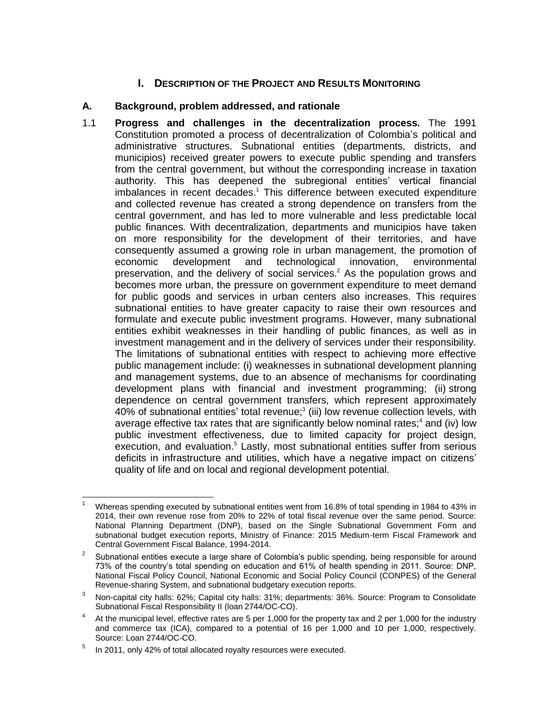# **I. DESCRIPTION OF THE PROJECT AND RESULTS MONITORING**

### **A. Background, problem addressed, and rationale**

1.1 **Progress and challenges in the decentralization process.** The 1991 Constitution promoted a process of decentralization of Colombia's political and administrative structures. Subnational entities (departments, districts, and municipios) received greater powers to execute public spending and transfers from the central government, but without the corresponding increase in taxation authority. This has deepened the subregional entities' vertical financial imbalances in recent decades.<sup>1</sup> This difference between executed expenditure and collected revenue has created a strong dependence on transfers from the central government, and has led to more vulnerable and less predictable local public finances. With decentralization, departments and municipios have taken on more responsibility for the development of their territories, and have consequently assumed a growing role in urban management, the promotion of economic development and technological innovation, environmental preservation, and the delivery of social services.<sup>2</sup> As the population grows and becomes more urban, the pressure on government expenditure to meet demand for public goods and services in urban centers also increases. This requires subnational entities to have greater capacity to raise their own resources and formulate and execute public investment programs. However, many subnational entities exhibit weaknesses in their handling of public finances, as well as in investment management and in the delivery of services under their responsibility. The limitations of subnational entities with respect to achieving more effective public management include: (i) weaknesses in subnational development planning and management systems, due to an absence of mechanisms for coordinating development plans with financial and investment programming; (ii) strong dependence on central government transfers, which represent approximately 40% of subnational entities' total revenue;<sup>3</sup> (iii) low revenue collection levels, with average effective tax rates that are significantly below nominal rates;<sup>4</sup> and (iv) low public investment effectiveness, due to limited capacity for project design, execution, and evaluation.<sup>5</sup> Lastly, most subnational entities suffer from serious deficits in infrastructure and utilities, which have a negative impact on citizens' quality of life and on local and regional development potential.

 $\overline{a}$ 

<sup>1</sup> Whereas spending executed by subnational entities went from 16.8% of total spending in 1984 to 43% in 2014, their own revenue rose from 20% to 22% of total fiscal revenue over the same period. Source: National Planning Department (DNP), based on the Single Subnational Government Form and subnational budget execution reports, Ministry of Finance: 2015 Medium-term Fiscal Framework and Central Government Fiscal Balance, 1994-2014.

<sup>2</sup> Subnational entities execute a large share of Colombia's public spending, being responsible for around 73% of the country's total spending on education and 61% of health spending in 2011. Source: DNP, National Fiscal Policy Council, National Economic and Social Policy Council (CONPES) of the General Revenue-sharing System, and subnational budgetary execution reports.

 $3$  Non-capital city halls: 62%; Capital city halls: 31%; departments: 36%. Source: Program to Consolidate Subnational Fiscal Responsibility II (loan 2744/OC-CO).

<sup>4</sup> At the municipal level, effective rates are 5 per 1,000 for the property tax and 2 per 1,000 for the industry and commerce tax (ICA), compared to a potential of 16 per 1,000 and 10 per 1,000, respectively. Source: Loan 2744/OC-CO.

<sup>5</sup> In 2011, only 42% of total allocated royalty resources were executed.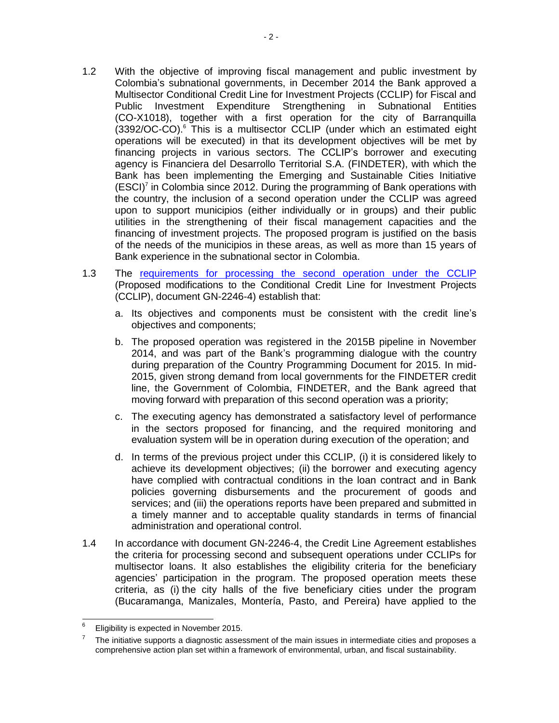- 1.2 With the objective of improving fiscal management and public investment by Colombia's subnational governments, in December 2014 the Bank approved a Multisector Conditional Credit Line for Investment Projects (CCLIP) for Fiscal and Public Investment Expenditure Strengthening in Subnational Entities (CO-X1018), together with a first operation for the city of Barranquilla (3392/OC-CO).<sup>6</sup> This is a multisector CCLIP (under which an estimated eight operations will be executed) in that its development objectives will be met by financing projects in various sectors. The CCLIP's borrower and executing agency is Financiera del Desarrollo Territorial S.A. (FINDETER), with which the Bank has been implementing the Emerging and Sustainable Cities Initiative  $(ESCI)<sup>7</sup>$  in Colombia since 2012. During the programming of Bank operations with the country, the inclusion of a second operation under the CCLIP was agreed upon to support municipios (either individually or in groups) and their public utilities in the strengthening of their fiscal management capacities and the financing of investment projects. The proposed program is justified on the basis of the needs of the municipios in these areas, as well as more than 15 years of Bank experience in the subnational sector in Colombia.
- 1.3 The [requirements for processing the second operation under the CCLIP](http://idbdocs.iadb.org/wsdocs/getDocument.aspx?DOCNUM=39901873) (Proposed modifications to the Conditional Credit Line for Investment Projects (CCLIP), document GN-2246-4) establish that:
	- a. Its objectives and components must be consistent with the credit line's objectives and components;
	- b. The proposed operation was registered in the 2015B pipeline in November 2014, and was part of the Bank's programming dialogue with the country during preparation of the Country Programming Document for 2015. In mid-2015, given strong demand from local governments for the FINDETER credit line, the Government of Colombia, FINDETER, and the Bank agreed that moving forward with preparation of this second operation was a priority;
	- c. The executing agency has demonstrated a satisfactory level of performance in the sectors proposed for financing, and the required monitoring and evaluation system will be in operation during execution of the operation; and
	- d. In terms of the previous project under this CCLIP, (i) it is considered likely to achieve its development objectives; (ii) the borrower and executing agency have complied with contractual conditions in the loan contract and in Bank policies governing disbursements and the procurement of goods and services; and (iii) the operations reports have been prepared and submitted in a timely manner and to acceptable quality standards in terms of financial administration and operational control.
- 1.4 In accordance with document GN-2246-4, the Credit Line Agreement establishes the criteria for processing second and subsequent operations under CCLIPs for multisector loans. It also establishes the eligibility criteria for the beneficiary agencies' participation in the program. The proposed operation meets these criteria, as (i) the city halls of the five beneficiary cities under the program (Bucaramanga, Manizales, Montería, Pasto, and Pereira) have applied to the

<sup>—&</sup>lt;br>6 Eligibility is expected in November 2015.

<sup>7</sup> The initiative supports a diagnostic assessment of the main issues in intermediate cities and proposes a comprehensive action plan set within a framework of environmental, urban, and fiscal sustainability.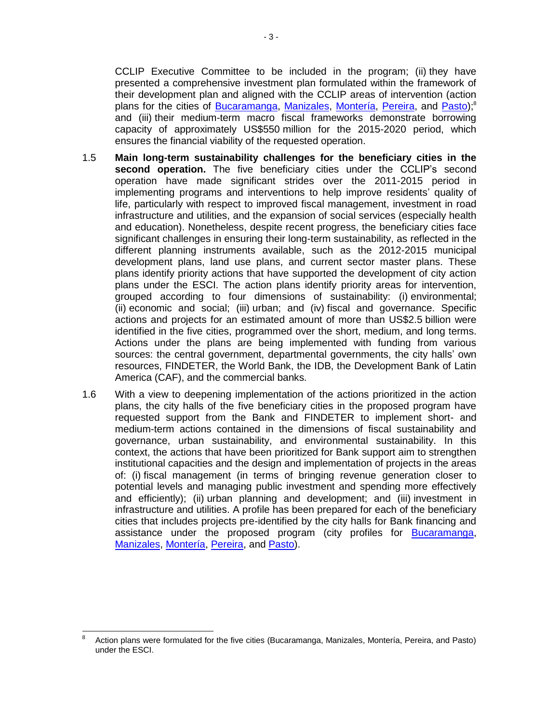CCLIP Executive Committee to be included in the program; (ii) they have presented a comprehensive investment plan formulated within the framework of their development plan and aligned with the CCLIP areas of intervention (action plans for the cities of [Bucaramanga,](pcdocs://IDBDOCS/39809978/R) [Manizales,](pcdocs://IDBDOCS/39809982/R) [Montería,](http://idbdocs.iadb.org/wsdocs/getDocument.aspx?DOCNUM=39823212) [Pereira,](http://idbdocs.iadb.org/wsdocs/getDocument.aspx?DOCNUM=398231200) and [Pasto\)](http://idbdocs.iadb.org/wsdocs/getDocument.aspx?DOCNUM=39823216);<sup>8</sup> and (iii) their medium-term macro fiscal frameworks demonstrate borrowing capacity of approximately US\$550 million for the 2015-2020 period, which ensures the financial viability of the requested operation.

- 1.5 **Main long-term sustainability challenges for the beneficiary cities in the second operation.** The five beneficiary cities under the CCLIP's second operation have made significant strides over the 2011-2015 period in implementing programs and interventions to help improve residents' quality of life, particularly with respect to improved fiscal management, investment in road infrastructure and utilities, and the expansion of social services (especially health and education). Nonetheless, despite recent progress, the beneficiary cities face significant challenges in ensuring their long-term sustainability, as reflected in the different planning instruments available, such as the 2012-2015 municipal development plans, land use plans, and current sector master plans. These plans identify priority actions that have supported the development of city action plans under the ESCI. The action plans identify priority areas for intervention, grouped according to four dimensions of sustainability: (i) environmental; (ii) economic and social; (iii) urban; and (iv) fiscal and governance. Specific actions and projects for an estimated amount of more than US\$2.5 billion were identified in the five cities, programmed over the short, medium, and long terms. Actions under the plans are being implemented with funding from various sources: the central government, departmental governments, the city halls' own resources, FINDETER, the World Bank, the IDB, the Development Bank of Latin America (CAF), and the commercial banks.
- 1.6 With a view to deepening implementation of the actions prioritized in the action plans, the city halls of the five beneficiary cities in the proposed program have requested support from the Bank and FINDETER to implement short- and medium-term actions contained in the dimensions of fiscal sustainability and governance, urban sustainability, and environmental sustainability. In this context, the actions that have been prioritized for Bank support aim to strengthen institutional capacities and the design and implementation of projects in the areas of: (i) fiscal management (in terms of bringing revenue generation closer to potential levels and managing public investment and spending more effectively and efficiently); (ii) urban planning and development; and (iii) investment in infrastructure and utilities. A profile has been prepared for each of the beneficiary cities that includes projects pre-identified by the city halls for Bank financing and assistance under the proposed program (city profiles for [Bucaramanga,](http://idbdocs.iadb.org/wsdocs/getDocument.aspx?DOCNUM=39809978) [Manizales,](http://idbdocs.iadb.org/wsdocs/getDocument.aspx?DOCNUM=39809982) [Montería,](http://idbdocs.iadb.org/wsdocs/getDocument.aspx?DOCNUM=39810002) [Pereira,](http://idbdocs.iadb.org/wsdocs/getDocument.aspx?DOCNUM=39810006) and [Pasto\)](http://idbdocs.iadb.org/wsdocs/getDocument.aspx?DOCNUM=39828174).

 8 Action plans were formulated for the five cities (Bucaramanga, Manizales, Montería, Pereira, and Pasto) under the ESCI.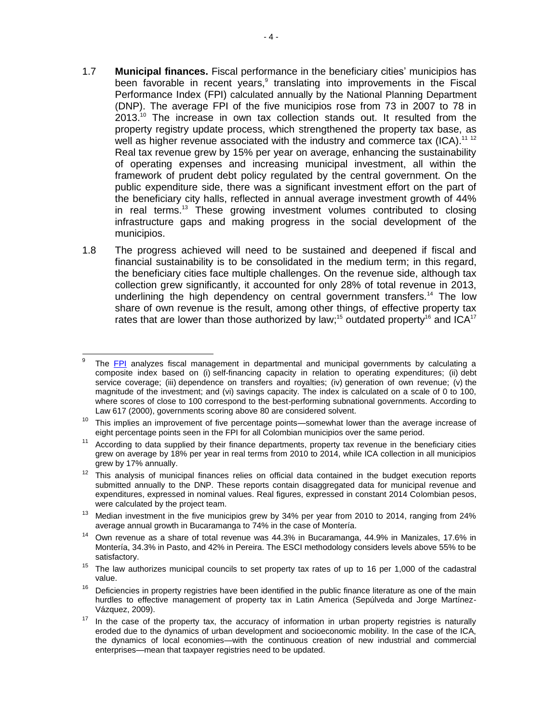- 1.7 **Municipal finances.** Fiscal performance in the beneficiary cities' municipios has been favorable in recent years,<sup>9</sup> translating into improvements in the Fiscal Performance Index (FPI) calculated annually by the National Planning Department (DNP). The average FPI of the five municipios rose from 73 in 2007 to 78 in  $2013$ .<sup>10</sup> The increase in own tax collection stands out. It resulted from the property registry update process, which strengthened the property tax base, as well as higher revenue associated with the industry and commerce tax (ICA).<sup>11-12</sup> Real tax revenue grew by 15% per year on average, enhancing the sustainability of operating expenses and increasing municipal investment, all within the framework of prudent debt policy regulated by the central government. On the public expenditure side, there was a significant investment effort on the part of the beneficiary city halls, reflected in annual average investment growth of 44% in real terms.<sup>13</sup> These growing investment volumes contributed to closing infrastructure gaps and making progress in the social development of the municipios.
- 1.8 The progress achieved will need to be sustained and deepened if fiscal and financial sustainability is to be consolidated in the medium term; in this regard, the beneficiary cities face multiple challenges. On the revenue side, although tax collection grew significantly, it accounted for only 28% of total revenue in 2013, underlining the high dependency on central government transfers.<sup>14</sup> The low share of own revenue is the result, among other things, of effective property tax rates that are lower than those authorized by law;<sup>15</sup> outdated property<sup>16</sup> and  $ICA^{17}$

 9 The [FPI](http://idbdocs.iadb.org/wsdocs/getDocument.aspx?DOCNUM=39853278) analyzes fiscal management in departmental and municipal governments by calculating a composite index based on (i) self-financing capacity in relation to operating expenditures; (ii) debt service coverage; (iii) dependence on transfers and royalties; (iv) generation of own revenue; (v) the magnitude of the investment; and (vi) savings capacity. The index is calculated on a scale of 0 to 100, where scores of close to 100 correspond to the best-performing subnational governments. According to Law 617 (2000), governments scoring above 80 are considered solvent.

 $10$  This implies an improvement of five percentage points—somewhat lower than the average increase of eight percentage points seen in the FPI for all Colombian municipios over the same period.

<sup>&</sup>lt;sup>11</sup> According to data supplied by their finance departments, property tax revenue in the beneficiary cities grew on average by 18% per year in real terms from 2010 to 2014, while ICA collection in all municipios grew by 17% annually.

 $12$  This analysis of municipal finances relies on official data contained in the budget execution reports submitted annually to the DNP. These reports contain disaggregated data for municipal revenue and expenditures, expressed in nominal values. Real figures, expressed in constant 2014 Colombian pesos, were calculated by the project team.

<sup>&</sup>lt;sup>13</sup> Median investment in the five municipios grew by 34% per year from 2010 to 2014, ranging from 24% average annual growth in Bucaramanga to 74% in the case of Montería.

<sup>&</sup>lt;sup>14</sup> Own revenue as a share of total revenue was 44.3% in Bucaramanga, 44.9% in Manizales, 17.6% in Montería, 34.3% in Pasto, and 42% in Pereira. The ESCI methodology considers levels above 55% to be satisfactory.

 $15$  The law authorizes municipal councils to set property tax rates of up to 16 per 1,000 of the cadastral value.

 $16$  Deficiencies in property registries have been identified in the public finance literature as one of the main hurdles to effective management of property tax in Latin America (Sepúlveda and Jorge Martínez-Vázquez, 2009).

 $17$  In the case of the property tax, the accuracy of information in urban property registries is naturally eroded due to the dynamics of urban development and socioeconomic mobility. In the case of the ICA, the dynamics of local economies—with the continuous creation of new industrial and commercial enterprises—mean that taxpayer registries need to be updated.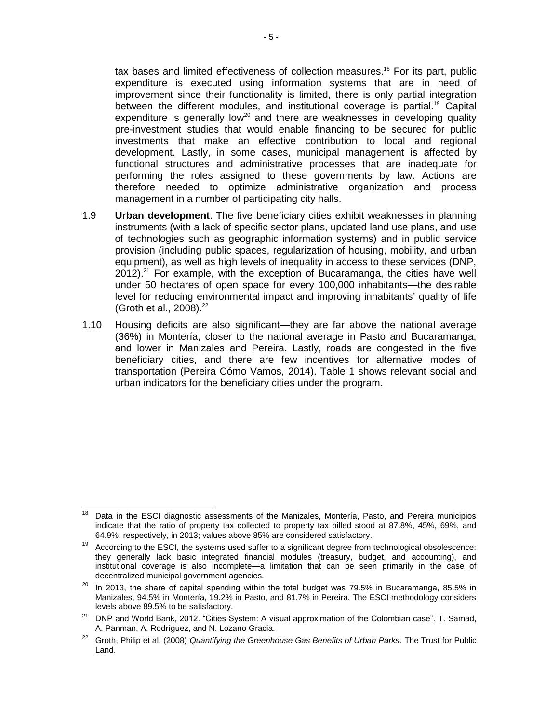tax bases and limited effectiveness of collection measures. <sup>18</sup> For its part, public expenditure is executed using information systems that are in need of improvement since their functionality is limited, there is only partial integration between the different modules, and institutional coverage is partial.<sup>19</sup> Capital expenditure is generally low<sup>20</sup> and there are weaknesses in developing quality pre-investment studies that would enable financing to be secured for public investments that make an effective contribution to local and regional development. Lastly, in some cases, municipal management is affected by functional structures and administrative processes that are inadequate for performing the roles assigned to these governments by law. Actions are therefore needed to optimize administrative organization and process management in a number of participating city halls.

- 1.9 **Urban development**. The five beneficiary cities exhibit weaknesses in planning instruments (with a lack of specific sector plans, updated land use plans, and use of technologies such as geographic information systems) and in public service provision (including public spaces, regularization of housing, mobility, and urban equipment), as well as high levels of inequality in access to these services (DNP,  $2012$ ).<sup>21</sup> For example, with the exception of Bucaramanga, the cities have well under 50 hectares of open space for every 100,000 inhabitants—the desirable level for reducing environmental impact and improving inhabitants' quality of life (Groth et al.,  $2008$ ).<sup>22</sup>
- 1.10 Housing deficits are also significant—they are far above the national average (36%) in Montería, closer to the national average in Pasto and Bucaramanga, and lower in Manizales and Pereira. Lastly, roads are congested in the five beneficiary cities, and there are few incentives for alternative modes of transportation (Pereira Cómo Vamos, 2014). Table 1 shows relevant social and urban indicators for the beneficiary cities under the program.

<sup>18</sup> Data in the ESCI diagnostic assessments of the Manizales, Montería, Pasto, and Pereira municipios indicate that the ratio of property tax collected to property tax billed stood at 87.8%, 45%, 69%, and 64.9%, respectively, in 2013; values above 85% are considered satisfactory.

<sup>&</sup>lt;sup>19</sup> According to the ESCI, the systems used suffer to a significant degree from technological obsolescence: they generally lack basic integrated financial modules (treasury, budget, and accounting), and institutional coverage is also incomplete—a limitation that can be seen primarily in the case of decentralized municipal government agencies.

 $20$  In 2013, the share of capital spending within the total budget was 79.5% in Bucaramanga, 85.5% in Manizales, 94.5% in Montería, 19.2% in Pasto, and 81.7% in Pereira. The ESCI methodology considers levels above 89.5% to be satisfactory.

<sup>&</sup>lt;sup>21</sup> DNP and World Bank, 2012. "Cities System: A visual approximation of the Colombian case". T. Samad, A. Panman, A. Rodríguez, and N. Lozano Gracia.

<sup>22</sup> Groth, Philip et al. (2008) *Quantifying the Greenhouse Gas Benefits of Urban Parks.* The Trust for Public Land.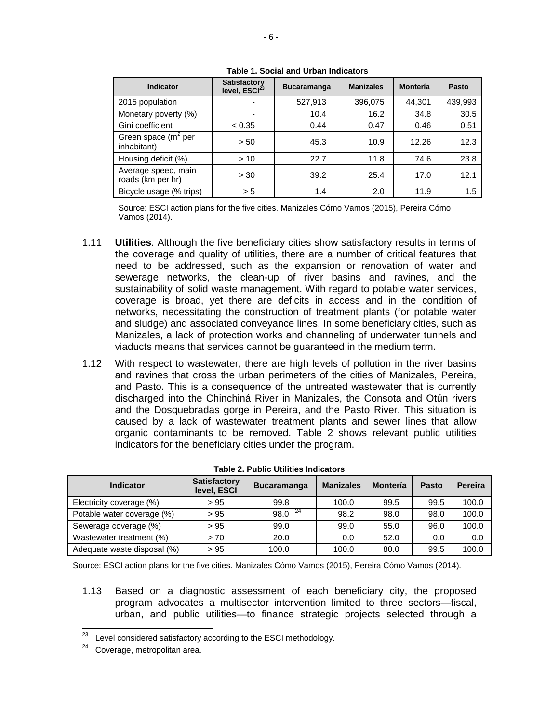| Indicator                                | <b>Satisfactory</b><br>level, ESCI <sup>23</sup> | <b>Bucaramanga</b> | <b>Manizales</b> | <b>Montería</b> | Pasto   |
|------------------------------------------|--------------------------------------------------|--------------------|------------------|-----------------|---------|
| 2015 population                          |                                                  | 527,913            | 396,075          | 44,301          | 439,993 |
| Monetary poverty (%)                     |                                                  | 10.4               | 16.2             | 34.8            | 30.5    |
| Gini coefficient                         | < 0.35                                           | 0.44               | 0.47             | 0.46            | 0.51    |
| Green space $(m^2$ per<br>inhabitant)    | > 50                                             | 45.3               | 10.9             | 12.26           | 12.3    |
| Housing deficit (%)                      | > 10                                             | 22.7               | 11.8             | 74.6            | 23.8    |
| Average speed, main<br>roads (km per hr) | > 30                                             | 39.2               | 25.4             | 17.0            | 12.1    |
| Bicycle usage (% trips)                  | > 5                                              | 1.4                | 2.0              | 11.9            | 1.5     |

**Table 1. Social and Urban Indicators**

Source: ESCI action plans for the five cities. Manizales Cómo Vamos (2015), Pereira Cómo Vamos (2014).

- 1.11 **Utilities**. Although the five beneficiary cities show satisfactory results in terms of the coverage and quality of utilities, there are a number of critical features that need to be addressed, such as the expansion or renovation of water and sewerage networks, the clean-up of river basins and ravines, and the sustainability of solid waste management. With regard to potable water services, coverage is broad, yet there are deficits in access and in the condition of networks, necessitating the construction of treatment plants (for potable water and sludge) and associated conveyance lines. In some beneficiary cities, such as Manizales, a lack of protection works and channeling of underwater tunnels and viaducts means that services cannot be guaranteed in the medium term.
- 1.12 With respect to wastewater, there are high levels of pollution in the river basins and ravines that cross the urban perimeters of the cities of Manizales, Pereira, and Pasto. This is a consequence of the untreated wastewater that is currently discharged into the Chinchiná River in Manizales, the Consota and Otún rivers and the Dosquebradas gorge in Pereira, and the Pasto River. This situation is caused by a lack of wastewater treatment plants and sewer lines that allow organic contaminants to be removed. Table 2 shows relevant public utilities indicators for the beneficiary cities under the program.

| Indicator                   | <b>Satisfactory</b><br>level, ESCI | <b>Bucaramanga</b> | <b>Manizales</b> | <b>Montería</b> | Pasto | <b>Pereira</b> |
|-----------------------------|------------------------------------|--------------------|------------------|-----------------|-------|----------------|
| Electricity coverage (%)    | > 95                               | 99.8               | 100.0            | 99.5            | 99.5  | 100.0          |
| Potable water coverage (%)  | > 95                               | $98.0^{24}$        | 98.2             | 98.0            | 98.0  | 100.0          |
| Sewerage coverage (%)       | > 95                               | 99.0               | 99.0             | 55.0            | 96.0  | 100.0          |
| Wastewater treatment (%)    | > 70                               | 20.0               | 0.0              | 52.0            | 0.0   | 0.0            |
| Adequate waste disposal (%) | > 95                               | 100.0              | 100.0            | 80.0            | 99.5  | 100.0          |

Source: ESCI action plans for the five cities. Manizales Cómo Vamos (2015), Pereira Cómo Vamos (2014).

1.13 Based on a diagnostic assessment of each beneficiary city, the proposed program advocates a multisector intervention limited to three sectors—fiscal, urban, and public utilities—to finance strategic projects selected through a

 $\overline{a}$ 

 $^{23}$  Level considered satisfactory according to the ESCI methodology.

<sup>&</sup>lt;sup>24</sup> Coverage, metropolitan area.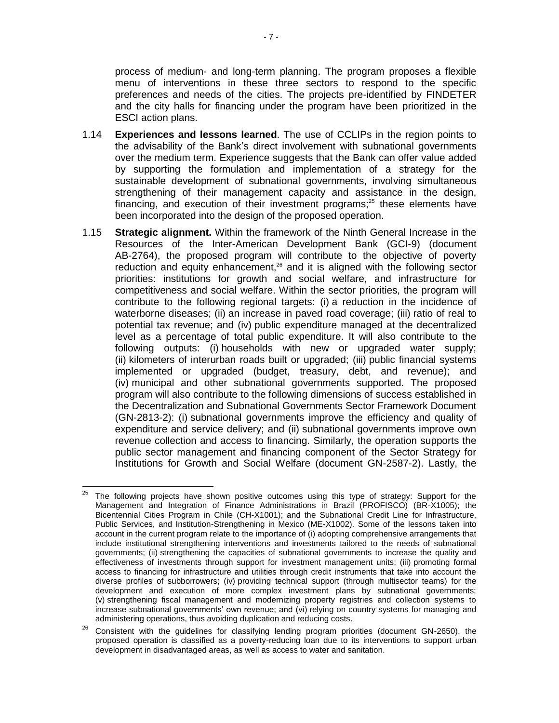process of medium- and long-term planning. The program proposes a flexible menu of interventions in these three sectors to respond to the specific preferences and needs of the cities. The projects pre-identified by FINDETER and the city halls for financing under the program have been prioritized in the ESCI action plans.

- 1.14 **Experiences and lessons learned**. The use of CCLIPs in the region points to the advisability of the Bank's direct involvement with subnational governments over the medium term. Experience suggests that the Bank can offer value added by supporting the formulation and implementation of a strategy for the sustainable development of subnational governments, involving simultaneous strengthening of their management capacity and assistance in the design, financing, and execution of their investment programs; $^{25}$  these elements have been incorporated into the design of the proposed operation.
- 1.15 **Strategic alignment.** Within the framework of the Ninth General Increase in the Resources of the Inter-American Development Bank (GCI-9) (document AB-2764), the proposed program will contribute to the objective of poverty reduction and equity enhancement,<sup>26</sup> and it is aligned with the following sector priorities: institutions for growth and social welfare, and infrastructure for competitiveness and social welfare. Within the sector priorities, the program will contribute to the following regional targets: (i) a reduction in the incidence of waterborne diseases; (ii) an increase in paved road coverage; (iii) ratio of real to potential tax revenue; and (iv) public expenditure managed at the decentralized level as a percentage of total public expenditure. It will also contribute to the following outputs: (i) households with new or upgraded water supply; (ii) kilometers of interurban roads built or upgraded; (iii) public financial systems implemented or upgraded (budget, treasury, debt, and revenue); and (iv) municipal and other subnational governments supported. The proposed program will also contribute to the following dimensions of success established in the Decentralization and Subnational Governments Sector Framework Document (GN-2813-2): (i) subnational governments improve the efficiency and quality of expenditure and service delivery; and (ii) subnational governments improve own revenue collection and access to financing. Similarly, the operation supports the public sector management and financing component of the Sector Strategy for Institutions for Growth and Social Welfare (document GN-2587-2). Lastly, the

<sup>25</sup> The following projects have shown positive outcomes using this type of strategy: Support for the Management and Integration of Finance Administrations in Brazil (PROFISCO) (BR-X1005); the Bicentennial Cities Program in Chile (CH-X1001); and the Subnational Credit Line for Infrastructure, Public Services, and Institution-Strengthening in Mexico (ME-X1002). Some of the lessons taken into account in the current program relate to the importance of (i) adopting comprehensive arrangements that include institutional strengthening interventions and investments tailored to the needs of subnational governments; (ii) strengthening the capacities of subnational governments to increase the quality and effectiveness of investments through support for investment management units; (iii) promoting formal access to financing for infrastructure and utilities through credit instruments that take into account the diverse profiles of subborrowers; (iv) providing technical support (through multisector teams) for the development and execution of more complex investment plans by subnational governments; (v) strengthening fiscal management and modernizing property registries and collection systems to increase subnational governments' own revenue; and (vi) relying on country systems for managing and administering operations, thus avoiding duplication and reducing costs.

 $26$  Consistent with the guidelines for classifying lending program priorities (document GN-2650), the proposed operation is classified as a poverty-reducing loan due to its interventions to support urban development in disadvantaged areas, as well as access to water and sanitation.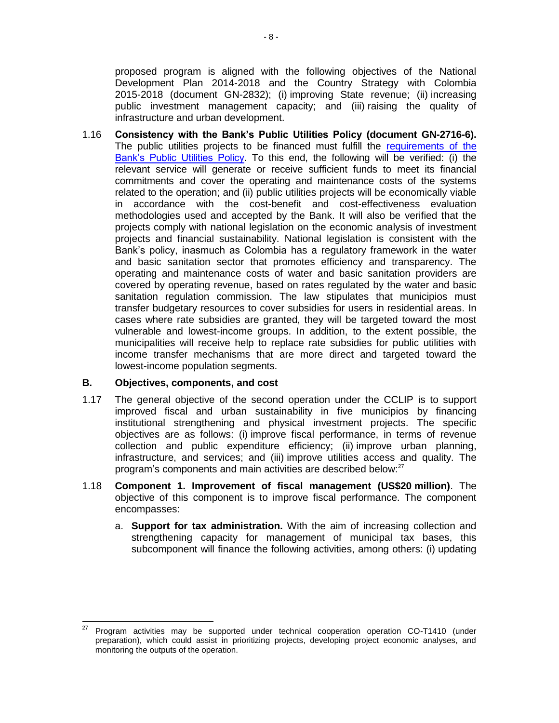proposed program is aligned with the following objectives of the National Development Plan 2014-2018 and the Country Strategy with Colombia 2015-2018 (document GN-2832); (i) improving State revenue; (ii) increasing public investment management capacity; and (iii) raising the quality of infrastructure and urban development.

1.16 **Consistency with the Bank's Public Utilities Policy (document GN-2716-6).** The public utilities projects to be financed must fulfill the requirements of the [Bank's Public Utilities Policy.](http://idbdocs.iadb.org/wsdocs/getDocument.aspx?DOCNUM=39948300) To this end, the following will be verified: (i) the relevant service will generate or receive sufficient funds to meet its financial commitments and cover the operating and maintenance costs of the systems related to the operation; and (ii) public utilities projects will be economically viable in accordance with the cost-benefit and cost-effectiveness evaluation methodologies used and accepted by the Bank. It will also be verified that the projects comply with national legislation on the economic analysis of investment projects and financial sustainability. National legislation is consistent with the Bank's policy, inasmuch as Colombia has a regulatory framework in the water and basic sanitation sector that promotes efficiency and transparency. The operating and maintenance costs of water and basic sanitation providers are covered by operating revenue, based on rates regulated by the water and basic sanitation regulation commission. The law stipulates that municipios must transfer budgetary resources to cover subsidies for users in residential areas. In cases where rate subsidies are granted, they will be targeted toward the most vulnerable and lowest-income groups. In addition, to the extent possible, the municipalities will receive help to replace rate subsidies for public utilities with income transfer mechanisms that are more direct and targeted toward the lowest-income population segments.

## **B. Objectives, components, and cost**

- 1.17 The general objective of the second operation under the CCLIP is to support improved fiscal and urban sustainability in five municipios by financing institutional strengthening and physical investment projects. The specific objectives are as follows: (i) improve fiscal performance, in terms of revenue collection and public expenditure efficiency; (ii) improve urban planning, infrastructure, and services; and (iii) improve utilities access and quality. The program's components and main activities are described below:<sup>27</sup>
- 1.18 **Component 1. Improvement of fiscal management (US\$20 million)**. The objective of this component is to improve fiscal performance. The component encompasses:
	- a. **Support for tax administration.** With the aim of increasing collection and strengthening capacity for management of municipal tax bases, this subcomponent will finance the following activities, among others: (i) updating

 $27$ Program activities may be supported under technical cooperation operation CO-T1410 (under preparation), which could assist in prioritizing projects, developing project economic analyses, and monitoring the outputs of the operation.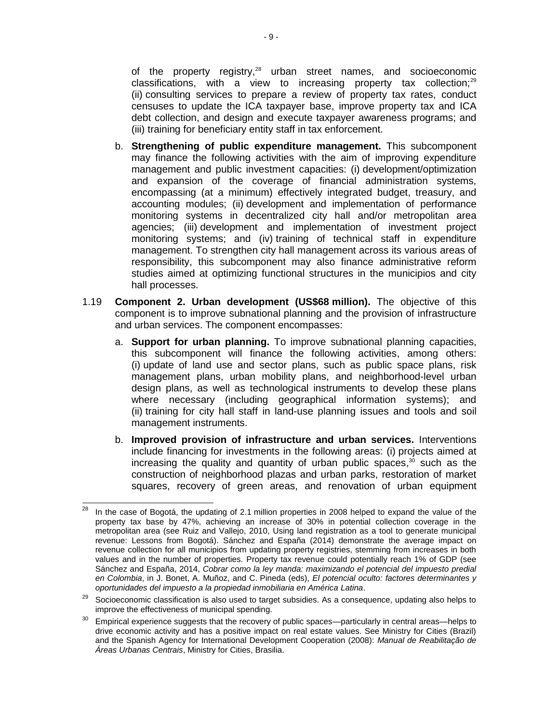of the property registry,<sup>28</sup> urban street names, and socioeconomic classifications, with a view to increasing property tax collection; $^{29}$ (ii) consulting services to prepare a review of property tax rates, conduct censuses to update the ICA taxpayer base, improve property tax and ICA debt collection, and design and execute taxpayer awareness programs; and (iii) training for beneficiary entity staff in tax enforcement.

- b. **Strengthening of public expenditure management.** This subcomponent may finance the following activities with the aim of improving expenditure management and public investment capacities: (i) development/optimization and expansion of the coverage of financial administration systems, encompassing (at a minimum) effectively integrated budget, treasury, and accounting modules; (ii) development and implementation of performance monitoring systems in decentralized city hall and/or metropolitan area agencies; (iii) development and implementation of investment project monitoring systems; and (iv) training of technical staff in expenditure management. To strengthen city hall management across its various areas of responsibility, this subcomponent may also finance administrative reform studies aimed at optimizing functional structures in the municipios and city hall processes.
- 1.19 **Component 2. Urban development (US\$68 million).** The objective of this component is to improve subnational planning and the provision of infrastructure and urban services. The component encompasses:
	- a. **Support for urban planning.** To improve subnational planning capacities, this subcomponent will finance the following activities, among others: (i) update of land use and sector plans, such as public space plans, risk management plans, urban mobility plans, and neighborhood-level urban design plans, as well as technological instruments to develop these plans where necessary (including geographical information systems); and (ii) training for city hall staff in land-use planning issues and tools and soil management instruments.
	- b. **Improved provision of infrastructure and urban services.** Interventions include financing for investments in the following areas: (i) projects aimed at increasing the quality and quantity of urban public spaces, <sup>30</sup> such as the construction of neighborhood plazas and urban parks, restoration of market squares, recovery of green areas, and renovation of urban equipment

<sup>28</sup> In the case of Bogotá, the updating of 2.1 million properties in 2008 helped to expand the value of the property tax base by 47%, achieving an increase of 30% in potential collection coverage in the metropolitan area (see Ruiz and Vallejo, 2010, Using land registration as a tool to generate municipal revenue: Lessons from Bogotá). Sánchez and España (2014) demonstrate the average impact on revenue collection for all municipios from updating property registries, stemming from increases in both values and in the number of properties. Property tax revenue could potentially reach 1% of GDP (see Sánchez and España, 2014, *Cobrar como la ley manda: maximizando el potencial del impuesto predial en Colombia*, in J. Bonet, A. Muñoz, and C. Pineda (eds), *El potencial oculto: factores determinantes y oportunidades del impuesto a la propiedad inmobiliaria en América Latina*.

 $29$  Socioeconomic classification is also used to target subsidies. As a consequence, updating also helps to improve the effectiveness of municipal spending.

<sup>&</sup>lt;sup>30</sup> Empirical experience suggests that the recovery of public spaces—particularly in central areas—helps to drive economic activity and has a positive impact on real estate values. See Ministry for Cities (Brazil) and the Spanish Agency for International Development Cooperation (2008): *Manual de Reabilitação de Áreas Urbanas Centrais*, Ministry for Cities, Brasilia.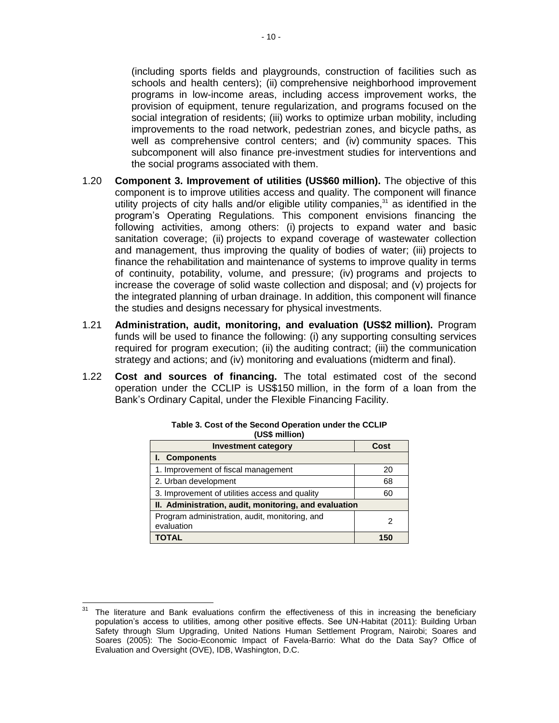(including sports fields and playgrounds, construction of facilities such as schools and health centers); (ii) comprehensive neighborhood improvement programs in low-income areas, including access improvement works, the provision of equipment, tenure regularization, and programs focused on the social integration of residents; (iii) works to optimize urban mobility, including improvements to the road network, pedestrian zones, and bicycle paths, as well as comprehensive control centers; and (iv) community spaces. This subcomponent will also finance pre-investment studies for interventions and the social programs associated with them.

- 1.20 **Component 3. Improvement of utilities (US\$60 million).** The objective of this component is to improve utilities access and quality. The component will finance utility projects of city halls and/or eligible utility companies, $31$  as identified in the program's Operating Regulations. This component envisions financing the following activities, among others: (i) projects to expand water and basic sanitation coverage; (ii) projects to expand coverage of wastewater collection and management, thus improving the quality of bodies of water; (iii) projects to finance the rehabilitation and maintenance of systems to improve quality in terms of continuity, potability, volume, and pressure; (iv) programs and projects to increase the coverage of solid waste collection and disposal; and (v) projects for the integrated planning of urban drainage. In addition, this component will finance the studies and designs necessary for physical investments.
- 1.21 **Administration, audit, monitoring, and evaluation (US\$2 million).** Program funds will be used to finance the following: (i) any supporting consulting services required for program execution; (ii) the auditing contract; (iii) the communication strategy and actions; and (iv) monitoring and evaluations (midterm and final).
- 1.22 **Cost and sources of financing.** The total estimated cost of the second operation under the CCLIP is US\$150 million, in the form of a loan from the Bank's Ordinary Capital, under the Flexible Financing Facility.

| <b>Investment category</b>                                   | Cost |  |  |  |  |  |
|--------------------------------------------------------------|------|--|--|--|--|--|
| I. Components                                                |      |  |  |  |  |  |
| 1. Improvement of fiscal management                          | 20   |  |  |  |  |  |
| 2. Urban development                                         | 68   |  |  |  |  |  |
| 3. Improvement of utilities access and quality               | 60   |  |  |  |  |  |
| II. Administration, audit, monitoring, and evaluation        |      |  |  |  |  |  |
| Program administration, audit, monitoring, and<br>evaluation | 2    |  |  |  |  |  |
| <b>TOTAL</b>                                                 | 150  |  |  |  |  |  |

| Table 3. Cost of the Second Operation under the CCLIP |
|-------------------------------------------------------|
| (US\$ million)                                        |

 $31$ The literature and Bank evaluations confirm the effectiveness of this in increasing the beneficiary population's access to utilities, among other positive effects. See UN-Habitat (2011): Building Urban Safety through Slum Upgrading, United Nations Human Settlement Program, Nairobi; Soares and Soares (2005): The Socio-Economic Impact of Favela-Barrio: What do the Data Say? Office of Evaluation and Oversight (OVE), IDB, Washington, D.C.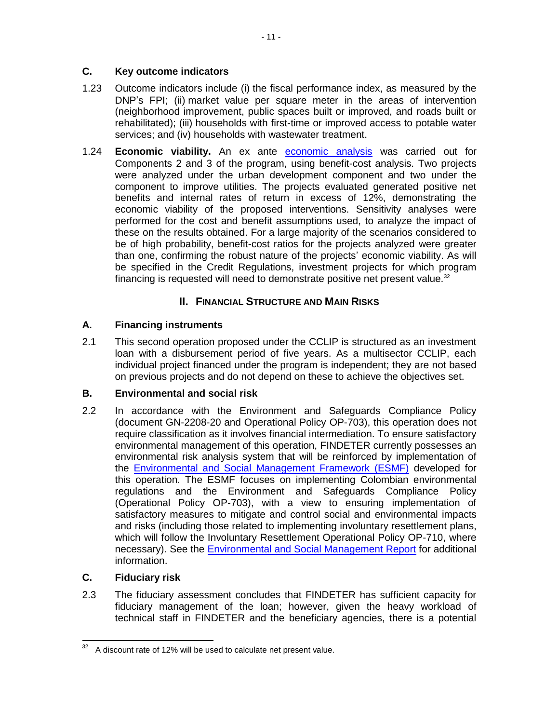# **C. Key outcome indicators**

- 1.23 Outcome indicators include (i) the fiscal performance index, as measured by the DNP's FPI; (ii) market value per square meter in the areas of intervention (neighborhood improvement, public spaces built or improved, and roads built or rehabilitated); (iii) households with first-time or improved access to potable water services; and (iv) households with wastewater treatment.
- 1.24 **Economic viability.** An ex ante [economic analysis](http://idbdocs.iadb.org/wsdocs/getDocument.aspx?DOCNUM=39825146) was carried out for Components 2 and 3 of the program, using benefit-cost analysis. Two projects were analyzed under the urban development component and two under the component to improve utilities. The projects evaluated generated positive net benefits and internal rates of return in excess of 12%, demonstrating the economic viability of the proposed interventions. Sensitivity analyses were performed for the cost and benefit assumptions used, to analyze the impact of these on the results obtained. For a large majority of the scenarios considered to be of high probability, benefit-cost ratios for the projects analyzed were greater than one, confirming the robust nature of the projects' economic viability. As will be specified in the Credit Regulations, investment projects for which program financing is requested will need to demonstrate positive net present value. $32$

# **II. FINANCIAL STRUCTURE AND MAIN RISKS**

# **A. Financing instruments**

2.1 This second operation proposed under the CCLIP is structured as an investment loan with a disbursement period of five years. As a multisector CCLIP, each individual project financed under the program is independent; they are not based on previous projects and do not depend on these to achieve the objectives set.

# **B. Environmental and social risk**

2.2 In accordance with the Environment and Safeguards Compliance Policy (document GN-2208-20 and Operational Policy OP-703), this operation does not require classification as it involves financial intermediation. To ensure satisfactory environmental management of this operation, FINDETER currently possesses an environmental risk analysis system that will be reinforced by implementation of the [Environmental and Social Management Framework \(ESMF\)](http://idbdocs.iadb.org/wsdocs/getDocument.aspx?DOCNUM=39907681) developed for this operation. The ESMF focuses on implementing Colombian environmental regulations and the Environment and Safeguards Compliance Policy (Operational Policy OP-703), with a view to ensuring implementation of satisfactory measures to mitigate and control social and environmental impacts and risks (including those related to implementing involuntary resettlement plans, which will follow the Involuntary Resettlement Operational Policy OP-710, where necessary). See the [Environmental and Social Management Report](http://idbdocs.iadb.org/wsdocs/getDocument.aspx?DOCNUM=39825197) for additional information.

# **C. Fiduciary risk**

2.3 The fiduciary assessment concludes that FINDETER has sufficient capacity for fiduciary management of the loan; however, given the heavy workload of technical staff in FINDETER and the beneficiary agencies, there is a potential

 $32$ A discount rate of 12% will be used to calculate net present value.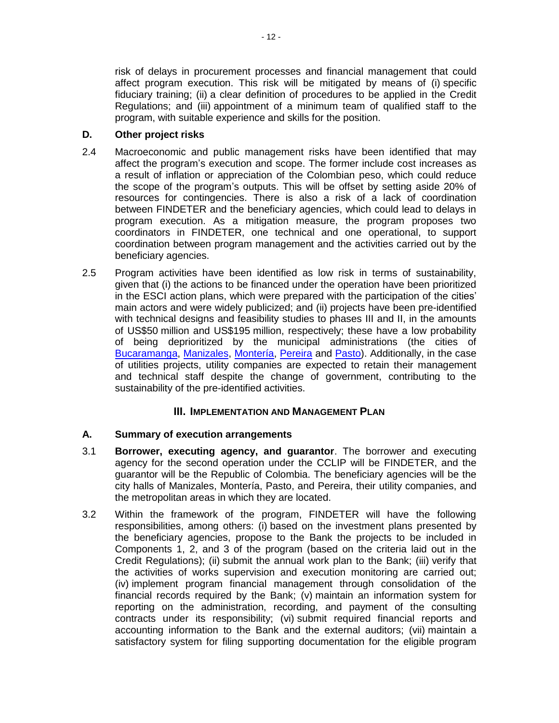risk of delays in procurement processes and financial management that could affect program execution. This risk will be mitigated by means of (i) specific fiduciary training; (ii) a clear definition of procedures to be applied in the Credit Regulations; and (iii) appointment of a minimum team of qualified staff to the program, with suitable experience and skills for the position.

## **D. Other project risks**

- 2.4 Macroeconomic and public management risks have been identified that may affect the program's execution and scope. The former include cost increases as a result of inflation or appreciation of the Colombian peso, which could reduce the scope of the program's outputs. This will be offset by setting aside 20% of resources for contingencies. There is also a risk of a lack of coordination between FINDETER and the beneficiary agencies, which could lead to delays in program execution. As a mitigation measure, the program proposes two coordinators in FINDETER, one technical and one operational, to support coordination between program management and the activities carried out by the beneficiary agencies.
- 2.5 Program activities have been identified as low risk in terms of sustainability, given that (i) the actions to be financed under the operation have been prioritized in the ESCI action plans, which were prepared with the participation of the cities' main actors and were widely publicized; and (ii) projects have been pre-identified with technical designs and feasibility studies to phases III and II, in the amounts of US\$50 million and US\$195 million, respectively; these have a low probability of being deprioritized by the municipal administrations (the cities of [Bucaramanga,](http://idbdocs.iadb.org/wsdocs/getDocument.aspx?DOCNUM=39809978) [Manizales,](http://idbdocs.iadb.org/wsdocs/getDocument.aspx?DOCNUM=39809982) [Montería,](http://idbdocs.iadb.org/wsdocs/getDocument.aspx?DOCNUM=39810002) [Pereira](http://idbdocs.iadb.org/wsdocs/getDocument.aspx?DOCNUM=39810006) and [Pasto\)](http://idbdocs.iadb.org/wsdocs/getDocument.aspx?DOCNUM=39828174). Additionally, in the case of utilities projects, utility companies are expected to retain their management and technical staff despite the change of government, contributing to the sustainability of the pre-identified activities.

## **III. IMPLEMENTATION AND MANAGEMENT PLAN**

## **A. Summary of execution arrangements**

- 3.1 **Borrower, executing agency, and guarantor**. The borrower and executing agency for the second operation under the CCLIP will be FINDETER, and the guarantor will be the Republic of Colombia. The beneficiary agencies will be the city halls of Manizales, Montería, Pasto, and Pereira, their utility companies, and the metropolitan areas in which they are located.
- 3.2 Within the framework of the program, FINDETER will have the following responsibilities, among others: (i) based on the investment plans presented by the beneficiary agencies, propose to the Bank the projects to be included in Components 1, 2, and 3 of the program (based on the criteria laid out in the Credit Regulations); (ii) submit the annual work plan to the Bank; (iii) verify that the activities of works supervision and execution monitoring are carried out; (iv) implement program financial management through consolidation of the financial records required by the Bank; (v) maintain an information system for reporting on the administration, recording, and payment of the consulting contracts under its responsibility; (vi) submit required financial reports and accounting information to the Bank and the external auditors; (vii) maintain a satisfactory system for filing supporting documentation for the eligible program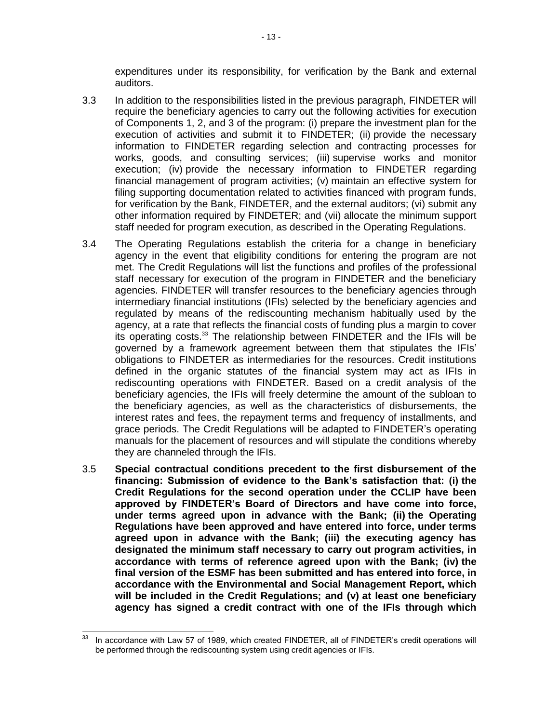expenditures under its responsibility, for verification by the Bank and external auditors.

- 3.3 In addition to the responsibilities listed in the previous paragraph, FINDETER will require the beneficiary agencies to carry out the following activities for execution of Components 1, 2, and 3 of the program: (i) prepare the investment plan for the execution of activities and submit it to FINDETER; (ii) provide the necessary information to FINDETER regarding selection and contracting processes for works, goods, and consulting services; (iii) supervise works and monitor execution; (iv) provide the necessary information to FINDETER regarding financial management of program activities; (v) maintain an effective system for filing supporting documentation related to activities financed with program funds, for verification by the Bank, FINDETER, and the external auditors; (vi) submit any other information required by FINDETER; and (vii) allocate the minimum support staff needed for program execution, as described in the Operating Regulations.
- 3.4 The Operating Regulations establish the criteria for a change in beneficiary agency in the event that eligibility conditions for entering the program are not met. The Credit Regulations will list the functions and profiles of the professional staff necessary for execution of the program in FINDETER and the beneficiary agencies. FINDETER will transfer resources to the beneficiary agencies through intermediary financial institutions (IFIs) selected by the beneficiary agencies and regulated by means of the rediscounting mechanism habitually used by the agency, at a rate that reflects the financial costs of funding plus a margin to cover its operating costs.<sup>33</sup> The relationship between FINDETER and the IFIs will be governed by a framework agreement between them that stipulates the IFIs' obligations to FINDETER as intermediaries for the resources. Credit institutions defined in the organic statutes of the financial system may act as IFIs in rediscounting operations with FINDETER. Based on a credit analysis of the beneficiary agencies, the IFIs will freely determine the amount of the subloan to the beneficiary agencies, as well as the characteristics of disbursements, the interest rates and fees, the repayment terms and frequency of installments, and grace periods. The Credit Regulations will be adapted to FINDETER's operating manuals for the placement of resources and will stipulate the conditions whereby they are channeled through the IFIs.
- 3.5 **Special contractual conditions precedent to the first disbursement of the financing: Submission of evidence to the Bank's satisfaction that: (i) the Credit Regulations for the second operation under the CCLIP have been approved by FINDETER's Board of Directors and have come into force, under terms agreed upon in advance with the Bank; (ii) the Operating Regulations have been approved and have entered into force, under terms agreed upon in advance with the Bank; (iii) the executing agency has designated the minimum staff necessary to carry out program activities, in accordance with terms of reference agreed upon with the Bank; (iv) the final version of the ESMF has been submitted and has entered into force, in accordance with the Environmental and Social Management Report, which will be included in the Credit Regulations; and (v) at least one beneficiary agency has signed a credit contract with one of the IFIs through which**

<sup>33</sup> In accordance with Law 57 of 1989, which created FINDETER, all of FINDETER's credit operations will be performed through the rediscounting system using credit agencies or IFIs.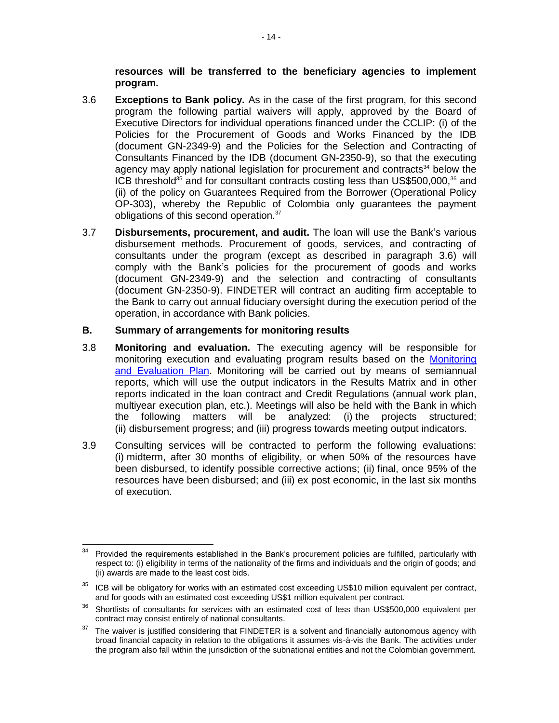**resources will be transferred to the beneficiary agencies to implement program.**

- 3.6 **Exceptions to Bank policy.** As in the case of the first program, for this second program the following partial waivers will apply, approved by the Board of Executive Directors for individual operations financed under the CCLIP: (i) of the Policies for the Procurement of Goods and Works Financed by the IDB (document GN-2349-9) and the Policies for the Selection and Contracting of Consultants Financed by the IDB (document GN-2350-9), so that the executing agency may apply national legislation for procurement and contracts $34$  below the ICB threshold<sup>35</sup> and for consultant contracts costing less than US\$500,000,<sup>36</sup> and (ii) of the policy on Guarantees Required from the Borrower (Operational Policy OP-303), whereby the Republic of Colombia only guarantees the payment obligations of this second operation.<sup>37</sup>
- 3.7 **Disbursements, procurement, and audit.** The loan will use the Bank's various disbursement methods. Procurement of goods, services, and contracting of consultants under the program (except as described in paragraph 3.6) will comply with the Bank's policies for the procurement of goods and works (document GN-2349-9) and the selection and contracting of consultants (document GN-2350-9). FINDETER will contract an auditing firm acceptable to the Bank to carry out annual fiduciary oversight during the execution period of the operation, in accordance with Bank policies.

### **B. Summary of arrangements for monitoring results**

- 3.8 **Monitoring and evaluation.** The executing agency will be responsible for monitoring execution and evaluating program results based on the [Monitoring](http://idbdocs.iadb.org/wsdocs/getDocument.aspx?DOCNUM=39825152)  [and Evaluation Plan.](http://idbdocs.iadb.org/wsdocs/getDocument.aspx?DOCNUM=39825152) Monitoring will be carried out by means of semiannual reports, which will use the output indicators in the Results Matrix and in other reports indicated in the loan contract and Credit Regulations (annual work plan, multiyear execution plan, etc.). Meetings will also be held with the Bank in which the following matters will be analyzed: (i) the projects structured; (ii) disbursement progress; and (iii) progress towards meeting output indicators.
- 3.9 Consulting services will be contracted to perform the following evaluations: (i) midterm, after 30 months of eligibility, or when 50% of the resources have been disbursed, to identify possible corrective actions; (ii) final, once 95% of the resources have been disbursed; and (iii) ex post economic, in the last six months of execution.

<sup>34</sup> Provided the requirements established in the Bank's procurement policies are fulfilled, particularly with respect to: (i) eligibility in terms of the nationality of the firms and individuals and the origin of goods; and (ii) awards are made to the least cost bids.

 $35$  ICB will be obligatory for works with an estimated cost exceeding US\$10 million equivalent per contract, and for goods with an estimated cost exceeding US\$1 million equivalent per contract.

<sup>&</sup>lt;sup>36</sup> Shortlists of consultants for services with an estimated cost of less than US\$500,000 equivalent per contract may consist entirely of national consultants.

 $37$  The waiver is justified considering that FINDETER is a solvent and financially autonomous agency with broad financial capacity in relation to the obligations it assumes vis-à-vis the Bank. The activities under the program also fall within the jurisdiction of the subnational entities and not the Colombian government.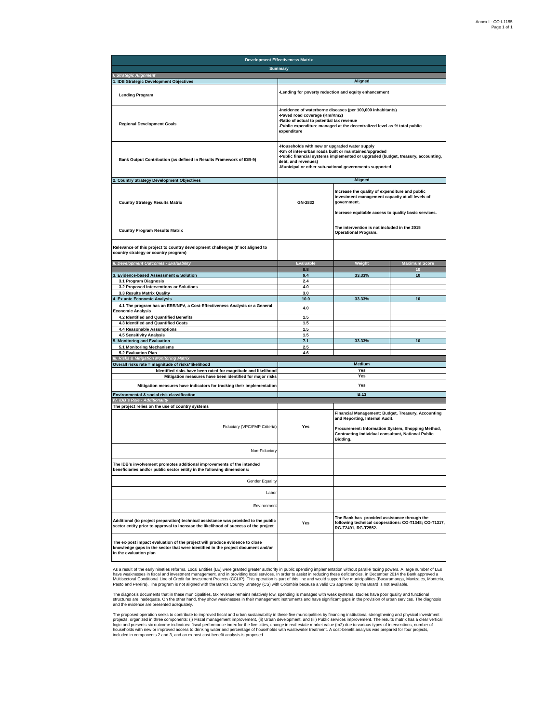| <b>Development Effectiveness Matrix</b>                                                                                                                                                   |                                                                                                                                                                                                                                                                          |                                                                                                                                                                                                             |               |  |  |  |  |  |  |
|-------------------------------------------------------------------------------------------------------------------------------------------------------------------------------------------|--------------------------------------------------------------------------------------------------------------------------------------------------------------------------------------------------------------------------------------------------------------------------|-------------------------------------------------------------------------------------------------------------------------------------------------------------------------------------------------------------|---------------|--|--|--|--|--|--|
| <b>Summary</b>                                                                                                                                                                            |                                                                                                                                                                                                                                                                          |                                                                                                                                                                                                             |               |  |  |  |  |  |  |
| I. Strategic Alignment<br>1. IDB Strategic Development Objectives                                                                                                                         | Aligned                                                                                                                                                                                                                                                                  |                                                                                                                                                                                                             |               |  |  |  |  |  |  |
| <b>Lending Program</b>                                                                                                                                                                    | -Lending for poverty reduction and equity enhancement                                                                                                                                                                                                                    |                                                                                                                                                                                                             |               |  |  |  |  |  |  |
| <b>Regional Development Goals</b>                                                                                                                                                         | Incidence of waterborne diseases (per 100,000 inhabitants)<br>Paved road coverage (Km/Km2)<br>Ratio of actual to potential tax revenue<br>Public expenditure managed at the decentralized level as % total public<br>expenditure                                         |                                                                                                                                                                                                             |               |  |  |  |  |  |  |
| Bank Output Contribution (as defined in Results Framework of IDB-9)                                                                                                                       | Households with new or upgraded water supply<br>Km of inter-urban roads built or maintained/upgraded<br>-Public financial systems implemented or upgraded (budget, treasury, accounting,<br>debt, and revenues)<br>Municipal or other sub-national governments supported |                                                                                                                                                                                                             |               |  |  |  |  |  |  |
| 2. Country Strategy Development Objectives                                                                                                                                                |                                                                                                                                                                                                                                                                          | Aligned                                                                                                                                                                                                     |               |  |  |  |  |  |  |
| <b>Country Strategy Results Matrix</b>                                                                                                                                                    | GN-2832                                                                                                                                                                                                                                                                  | Increase the quality of expenditure and public<br>investment management capacity at all levels of<br>government.<br>Increase equitable access to quality basic services.                                    |               |  |  |  |  |  |  |
| <b>Country Program Results Matrix</b>                                                                                                                                                     |                                                                                                                                                                                                                                                                          | The intervention is not included in the 2015<br><b>Operational Program.</b>                                                                                                                                 |               |  |  |  |  |  |  |
| Relevance of this project to country development challenges (If not aligned to<br>country strategy or country program)                                                                    |                                                                                                                                                                                                                                                                          |                                                                                                                                                                                                             |               |  |  |  |  |  |  |
| <b>Development Outcomes - Evaluability</b>                                                                                                                                                | <b>Evaluable</b>                                                                                                                                                                                                                                                         | Weight                                                                                                                                                                                                      | Maximum Score |  |  |  |  |  |  |
| <b>Evidence-based Assessment &amp; Solution</b>                                                                                                                                           | 8.8<br>9.4                                                                                                                                                                                                                                                               | 33.33%                                                                                                                                                                                                      | 10<br>10      |  |  |  |  |  |  |
| 3.1 Program Diagnosis                                                                                                                                                                     | 2.4                                                                                                                                                                                                                                                                      |                                                                                                                                                                                                             |               |  |  |  |  |  |  |
| 3.2 Proposed Interventions or Solutions                                                                                                                                                   | 4.0                                                                                                                                                                                                                                                                      |                                                                                                                                                                                                             |               |  |  |  |  |  |  |
| 3.3 Results Matrix Quality                                                                                                                                                                | 3.0                                                                                                                                                                                                                                                                      |                                                                                                                                                                                                             |               |  |  |  |  |  |  |
| <b>Ex ante Economic Analysis</b>                                                                                                                                                          | 10.0                                                                                                                                                                                                                                                                     | 33.33%                                                                                                                                                                                                      | 10            |  |  |  |  |  |  |
| 4.1 The program has an ERR/NPV, a Cost-Effectiveness Analysis or a General<br><b>Economic Analysis</b>                                                                                    | 4.0                                                                                                                                                                                                                                                                      |                                                                                                                                                                                                             |               |  |  |  |  |  |  |
| 4.2 Identified and Quantified Benefits                                                                                                                                                    | 1.5                                                                                                                                                                                                                                                                      |                                                                                                                                                                                                             |               |  |  |  |  |  |  |
| 4.3 Identified and Quantified Costs<br>4.4 Reasonable Assumptions                                                                                                                         | 1.5<br>1.5                                                                                                                                                                                                                                                               |                                                                                                                                                                                                             |               |  |  |  |  |  |  |
| 4.5 Sensitivity Analysis                                                                                                                                                                  | 1.5                                                                                                                                                                                                                                                                      |                                                                                                                                                                                                             |               |  |  |  |  |  |  |
| <b>Monitoring and Evaluation</b>                                                                                                                                                          | 7.1                                                                                                                                                                                                                                                                      | 33.33%                                                                                                                                                                                                      | 10            |  |  |  |  |  |  |
| 5.1 Monitoring Mechanisms                                                                                                                                                                 | 2.5                                                                                                                                                                                                                                                                      |                                                                                                                                                                                                             |               |  |  |  |  |  |  |
| 5.2 Evaluation Plan                                                                                                                                                                       | 4.6                                                                                                                                                                                                                                                                      |                                                                                                                                                                                                             |               |  |  |  |  |  |  |
| I. Risks & Mitigation Monitoring Matrix                                                                                                                                                   |                                                                                                                                                                                                                                                                          |                                                                                                                                                                                                             |               |  |  |  |  |  |  |
| Overall risks rate = magnitude of risks*likelihood<br>Identified risks have been rated for magnitude and likelihood                                                                       |                                                                                                                                                                                                                                                                          | Medium<br>Yes                                                                                                                                                                                               |               |  |  |  |  |  |  |
| Mitigation measures have been identified for major risks                                                                                                                                  |                                                                                                                                                                                                                                                                          | Yes                                                                                                                                                                                                         |               |  |  |  |  |  |  |
| Mitigation measures have indicators for tracking their implementation                                                                                                                     | Yes                                                                                                                                                                                                                                                                      |                                                                                                                                                                                                             |               |  |  |  |  |  |  |
| Environmental & social risk classification                                                                                                                                                |                                                                                                                                                                                                                                                                          | <b>B.13</b>                                                                                                                                                                                                 |               |  |  |  |  |  |  |
| IV. IDB's Role - Additionality                                                                                                                                                            |                                                                                                                                                                                                                                                                          |                                                                                                                                                                                                             |               |  |  |  |  |  |  |
| The project relies on the use of country systems<br>Fiduciary (VPC/FMP Criteria)                                                                                                          | Yes                                                                                                                                                                                                                                                                      | Financial Management: Budget, Treasury, Accounting<br>and Reporting, Internal Audit.<br>Procurement: Information System, Shopping Method,<br>Contracting individual consultant, National Public<br>Bidding. |               |  |  |  |  |  |  |
| Non-Fiduciary                                                                                                                                                                             |                                                                                                                                                                                                                                                                          |                                                                                                                                                                                                             |               |  |  |  |  |  |  |
| The IDB's involvement promotes additional improvements of the intended<br>beneficiaries and/or public sector entity in the following dimensions:                                          |                                                                                                                                                                                                                                                                          |                                                                                                                                                                                                             |               |  |  |  |  |  |  |
| Gender Equality                                                                                                                                                                           |                                                                                                                                                                                                                                                                          |                                                                                                                                                                                                             |               |  |  |  |  |  |  |
| Labor                                                                                                                                                                                     |                                                                                                                                                                                                                                                                          |                                                                                                                                                                                                             |               |  |  |  |  |  |  |
| Environment                                                                                                                                                                               |                                                                                                                                                                                                                                                                          |                                                                                                                                                                                                             |               |  |  |  |  |  |  |
| Additional (to project preparation) technical assistance was provided to the public<br>sector entity prior to approval to increase the likelihood of success of the project               | Yes                                                                                                                                                                                                                                                                      | The Bank has provided assistance through the<br>following technical cooperations: CO-T1348; CO-T1317,<br>RG-T2491, RG-T2552.                                                                                |               |  |  |  |  |  |  |
| The ex-post impact evaluation of the project will produce evidence to close<br>knowledge gaps in the sector that were identified in the project document and/or<br>in the evaluation plan |                                                                                                                                                                                                                                                                          |                                                                                                                                                                                                             |               |  |  |  |  |  |  |

As a result of the early nineties reforms, Local Entities (LE) were granted greater and those the members of the members of the members of the members of the member of the standard member of the Standard member of the Bank

The diagnosis documents that in these municipalities, tax revenue remains relatively low, spending is managed with weak systems, studies have poor quality and functional<br>structures are inadequate. On the other hand, they s

The proposed operation seeks to contribute to improved fiscal and urban sustainability in these five municipalities by financing institutional strengthening and physical investment<br>projects, organized in three components: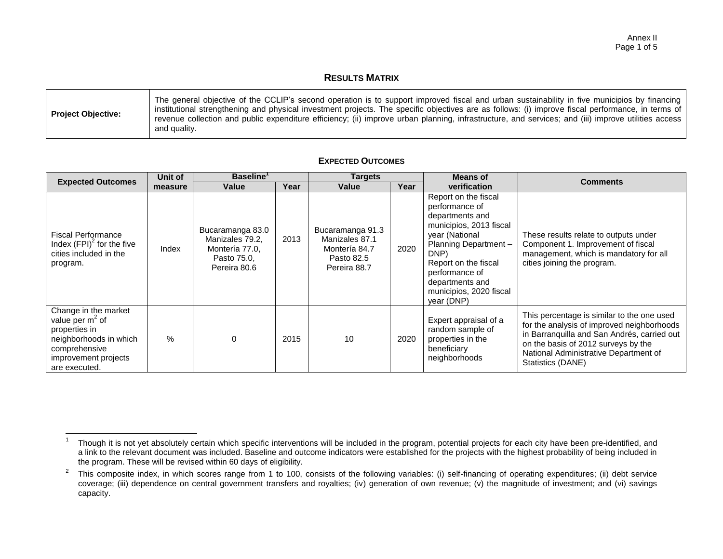### **RESULTS MATRIX**

| <b>Project Objective:</b> | The general objective of the CCLIP's second operation is to support improved fiscal and urban sustainability in five municipios by financing<br>  institutional strengthening and physical investment projects. The specific objectives are as follows: (i) improve fiscal performance, in terms of<br>revenue collection and public expenditure efficiency; (ii) improve urban planning, infrastructure, and services; and (iii) improve utilities access<br>and quality. |
|---------------------------|----------------------------------------------------------------------------------------------------------------------------------------------------------------------------------------------------------------------------------------------------------------------------------------------------------------------------------------------------------------------------------------------------------------------------------------------------------------------------|
|---------------------------|----------------------------------------------------------------------------------------------------------------------------------------------------------------------------------------------------------------------------------------------------------------------------------------------------------------------------------------------------------------------------------------------------------------------------------------------------------------------------|

| <b>Expected Outcomes</b>                                                                                                                       | Unit of | <b>Baseline</b>                                                                      |      | <b>Targets</b>                                                                    |      | <b>Means of</b>                                                                                                                                                                                                                              | <b>Comments</b>                                                                                                                                                                                                                              |  |
|------------------------------------------------------------------------------------------------------------------------------------------------|---------|--------------------------------------------------------------------------------------|------|-----------------------------------------------------------------------------------|------|----------------------------------------------------------------------------------------------------------------------------------------------------------------------------------------------------------------------------------------------|----------------------------------------------------------------------------------------------------------------------------------------------------------------------------------------------------------------------------------------------|--|
|                                                                                                                                                | measure | Value                                                                                | Year | Value                                                                             | Year | verification                                                                                                                                                                                                                                 |                                                                                                                                                                                                                                              |  |
| <b>Fiscal Performance</b><br>Index $(FPI)^2$ for the five<br>cities included in the<br>program.                                                | Index   | Bucaramanga 83.0<br>Manizales 79.2.<br>Montería 77.0,<br>Pasto 75.0,<br>Pereira 80.6 | 2013 | Bucaramanga 91.3<br>Manizales 87.1<br>Montería 84.7<br>Pasto 82.5<br>Pereira 88.7 | 2020 | Report on the fiscal<br>performance of<br>departments and<br>municipios, 2013 fiscal<br>year (National<br>Planning Department-<br>DNP)<br>Report on the fiscal<br>performance of<br>departments and<br>municipios, 2020 fiscal<br>year (DNP) | These results relate to outputs under<br>Component 1. Improvement of fiscal<br>management, which is mandatory for all<br>cities joining the program.                                                                                         |  |
| Change in the market<br>value per $m2$ of<br>properties in<br>neighborhoods in which<br>comprehensive<br>improvement projects<br>are executed. | $\%$    | $\Omega$                                                                             | 2015 | 10                                                                                | 2020 | Expert appraisal of a<br>random sample of<br>properties in the<br>beneficiary<br>neighborhoods                                                                                                                                               | This percentage is similar to the one used<br>for the analysis of improved neighborhoods<br>in Barranquilla and San Andrés, carried out<br>on the basis of 2012 surveys by the<br>National Administrative Department of<br>Statistics (DANE) |  |

#### **EXPECTED OUTCOMES**

<sup>|&</sup>lt;br>1 Though it is not yet absolutely certain which specific interventions will be included in the program, potential projects for each city have been pre-identified, and a link to the relevant document was included. Baseline and outcome indicators were established for the projects with the highest probability of being included in the program. These will be revised within 60 days of eligibility.

<sup>&</sup>lt;sup>2</sup> This composite index, in which scores range from 1 to 100, consists of the following variables: (i) self-financing of operating expenditures; (ii) debt service coverage; (iii) dependence on central government transfers and royalties; (iv) generation of own revenue; (v) the magnitude of investment; and (vi) savings capacity.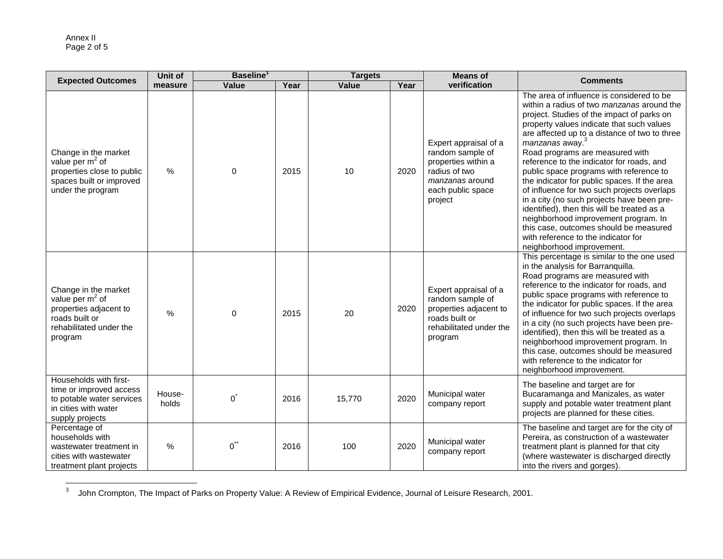| <b>Expected Outcomes</b>                                                                                                    | Unit of         | <b>Baseline</b>  |      | <b>Targets</b> |      | <b>Means of</b>                                                                                                                      | <b>Comments</b>                                                                                                                                                                                                                                                                                                                                                                                                                                                                                                                                                                                                                                                                                                                                        |
|-----------------------------------------------------------------------------------------------------------------------------|-----------------|------------------|------|----------------|------|--------------------------------------------------------------------------------------------------------------------------------------|--------------------------------------------------------------------------------------------------------------------------------------------------------------------------------------------------------------------------------------------------------------------------------------------------------------------------------------------------------------------------------------------------------------------------------------------------------------------------------------------------------------------------------------------------------------------------------------------------------------------------------------------------------------------------------------------------------------------------------------------------------|
|                                                                                                                             | measure         | Value            | Year | <b>Value</b>   | Year | verification                                                                                                                         |                                                                                                                                                                                                                                                                                                                                                                                                                                                                                                                                                                                                                                                                                                                                                        |
| Change in the market<br>value per $m2$ of<br>properties close to public<br>spaces built or improved<br>under the program    | $\%$            | $\mathbf 0$      | 2015 | 10             | 2020 | Expert appraisal of a<br>random sample of<br>properties within a<br>radius of two<br>manzanas around<br>each public space<br>project | The area of influence is considered to be<br>within a radius of two <i>manzanas</i> around the<br>project. Studies of the impact of parks on<br>property values indicate that such values<br>are affected up to a distance of two to three<br>manzanas away. <sup>3</sup><br>Road programs are measured with<br>reference to the indicator for roads, and<br>public space programs with reference to<br>the indicator for public spaces. If the area<br>of influence for two such projects overlaps<br>in a city (no such projects have been pre-<br>identified), then this will be treated as a<br>neighborhood improvement program. In<br>this case, outcomes should be measured<br>with reference to the indicator for<br>neighborhood improvement. |
| Change in the market<br>value per $m2$ of<br>properties adjacent to<br>roads built or<br>rehabilitated under the<br>program | $\%$            | $\Omega$         | 2015 | 20             | 2020 | Expert appraisal of a<br>random sample of<br>properties adjacent to<br>roads built or<br>rehabilitated under the<br>program          | This percentage is similar to the one used<br>in the analysis for Barranquilla.<br>Road programs are measured with<br>reference to the indicator for roads, and<br>public space programs with reference to<br>the indicator for public spaces. If the area<br>of influence for two such projects overlaps<br>in a city (no such projects have been pre-<br>identified), then this will be treated as a<br>neighborhood improvement program. In<br>this case, outcomes should be measured<br>with reference to the indicator for<br>neighborhood improvement.                                                                                                                                                                                           |
| Households with first-<br>time or improved access<br>to potable water services<br>in cities with water<br>supply projects   | House-<br>holds | $\overline{0}^*$ | 2016 | 15,770         | 2020 | Municipal water<br>company report                                                                                                    | The baseline and target are for<br>Bucaramanga and Manizales, as water<br>supply and potable water treatment plant<br>projects are planned for these cities.                                                                                                                                                                                                                                                                                                                                                                                                                                                                                                                                                                                           |
| Percentage of<br>households with<br>wastewater treatment in<br>cities with wastewater<br>treatment plant projects           | $\frac{0}{0}$   | $0^{\ast\ast}$   | 2016 | 100            | 2020 | Municipal water<br>company report                                                                                                    | The baseline and target are for the city of<br>Pereira, as construction of a wastewater<br>treatment plant is planned for that city<br>(where wastewater is discharged directly<br>into the rivers and gorges).                                                                                                                                                                                                                                                                                                                                                                                                                                                                                                                                        |

 3 John Crompton, The Impact of Parks on Property Value: A Review of Empirical Evidence, Journal of Leisure Research, 2001.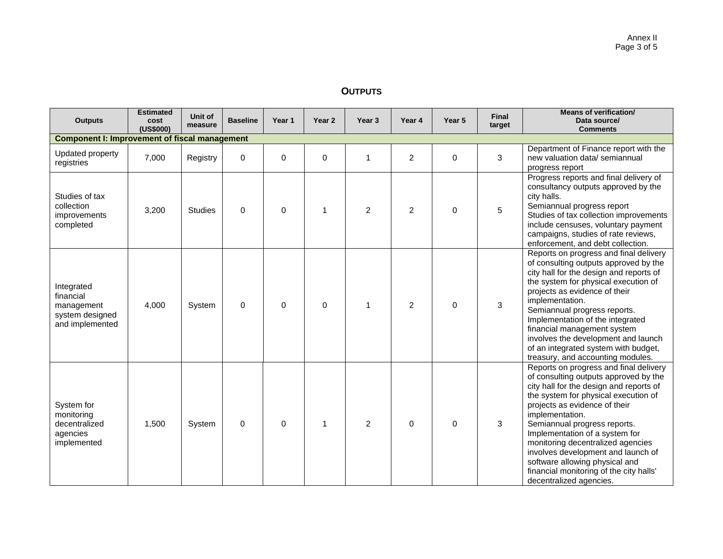# **OUTPUTS**

| <b>Outputs</b>                                                              | <b>Estimated</b><br>cost<br>(US\$000) | Unit of<br>measure | <b>Baseline</b> | Year 1   | Year <sub>2</sub> | Year <sub>3</sub> | Year 4         | Year 5   | <b>Final</b><br>target | <b>Means of verification/</b><br>Data source/<br><b>Comments</b>                                                                                                                                                                                                                                                                                                                                                                                                            |  |
|-----------------------------------------------------------------------------|---------------------------------------|--------------------|-----------------|----------|-------------------|-------------------|----------------|----------|------------------------|-----------------------------------------------------------------------------------------------------------------------------------------------------------------------------------------------------------------------------------------------------------------------------------------------------------------------------------------------------------------------------------------------------------------------------------------------------------------------------|--|
| <b>Component I: Improvement of fiscal management</b>                        |                                       |                    |                 |          |                   |                   |                |          |                        |                                                                                                                                                                                                                                                                                                                                                                                                                                                                             |  |
| Updated property<br>registries                                              | 7,000                                 | Registry           | 0               | $\Omega$ | 0                 | 1                 | $\overline{2}$ | 0        | 3                      | Department of Finance report with the<br>new valuation data/ semiannual<br>progress report                                                                                                                                                                                                                                                                                                                                                                                  |  |
| Studies of tax<br>collection<br>improvements<br>completed                   | 3,200                                 | <b>Studies</b>     | $\Omega$        | $\Omega$ |                   | 2                 | $\overline{2}$ | 0        | 5                      | Progress reports and final delivery of<br>consultancy outputs approved by the<br>city halls.<br>Semiannual progress report<br>Studies of tax collection improvements<br>include censuses, voluntary payment<br>campaigns, studies of rate reviews,<br>enforcement, and debt collection.                                                                                                                                                                                     |  |
| Integrated<br>financial<br>management<br>system designed<br>and implemented | 4,000                                 | System             | $\Omega$        | $\Omega$ | $\Omega$          |                   | $\overline{2}$ | $\Omega$ | 3                      | Reports on progress and final delivery<br>of consulting outputs approved by the<br>city hall for the design and reports of<br>the system for physical execution of<br>projects as evidence of their<br>implementation.<br>Semiannual progress reports.<br>Implementation of the integrated<br>financial management system<br>involves the development and launch<br>of an integrated system with budget,<br>treasury, and accounting modules.                               |  |
| System for<br>monitoring<br>decentralized<br>agencies<br>implemented        | 1,500                                 | System             | $\Omega$        | $\Omega$ |                   | 2                 | $\Omega$       | $\Omega$ | 3                      | Reports on progress and final delivery<br>of consulting outputs approved by the<br>city hall for the design and reports of<br>the system for physical execution of<br>projects as evidence of their<br>implementation.<br>Semiannual progress reports.<br>Implementation of a system for<br>monitoring decentralized agencies<br>involves development and launch of<br>software allowing physical and<br>financial monitoring of the city halls'<br>decentralized agencies. |  |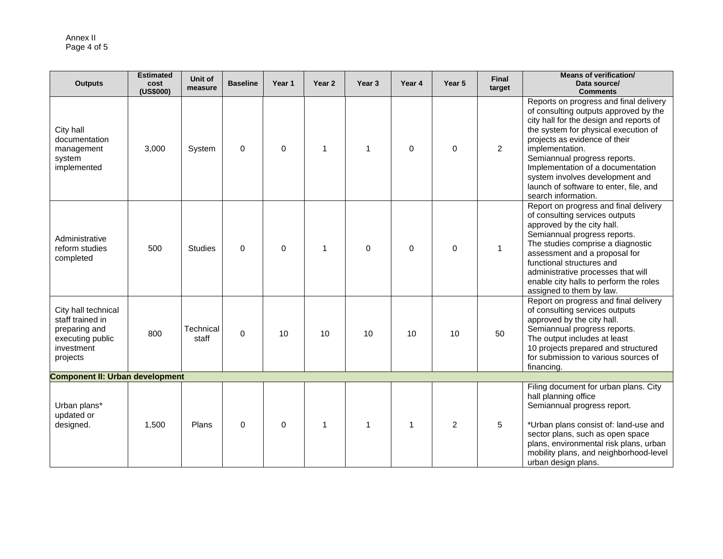| <b>Outputs</b>                                                                                         | <b>Estimated</b><br>cost<br>(US\$000) | Unit of<br>measure | <b>Baseline</b> | Year 1      | Year <sub>2</sub> | Year 3 | Year 4      | Year 5      | <b>Final</b><br>target | <b>Means of verification/</b><br>Data source/<br><b>Comments</b>                                                                                                                                                                                                                                                                                                                                |
|--------------------------------------------------------------------------------------------------------|---------------------------------------|--------------------|-----------------|-------------|-------------------|--------|-------------|-------------|------------------------|-------------------------------------------------------------------------------------------------------------------------------------------------------------------------------------------------------------------------------------------------------------------------------------------------------------------------------------------------------------------------------------------------|
| City hall<br>documentation<br>management<br>system<br>implemented                                      | 3,000                                 | System             | 0               | $\Omega$    | $\mathbf{1}$      | 1      | $\Omega$    | $\Omega$    | $\overline{2}$         | Reports on progress and final delivery<br>of consulting outputs approved by the<br>city hall for the design and reports of<br>the system for physical execution of<br>projects as evidence of their<br>implementation.<br>Semiannual progress reports.<br>Implementation of a documentation<br>system involves development and<br>launch of software to enter, file, and<br>search information. |
| Administrative<br>reform studies<br>completed                                                          | 500                                   | <b>Studies</b>     | 0               | $\mathbf 0$ | $\mathbf{1}$      | 0      | $\mathbf 0$ | $\mathbf 0$ | 1                      | Report on progress and final delivery<br>of consulting services outputs<br>approved by the city hall.<br>Semiannual progress reports.<br>The studies comprise a diagnostic<br>assessment and a proposal for<br>functional structures and<br>administrative processes that will<br>enable city halls to perform the roles<br>assigned to them by law.                                            |
| City hall technical<br>staff trained in<br>preparing and<br>executing public<br>investment<br>projects | 800                                   | Technical<br>staff | 0               | 10          | 10                | 10     | 10          | 10          | 50                     | Report on progress and final delivery<br>of consulting services outputs<br>approved by the city hall.<br>Semiannual progress reports.<br>The output includes at least<br>10 projects prepared and structured<br>for submission to various sources of<br>financing.                                                                                                                              |
| <b>Component II: Urban development</b>                                                                 |                                       |                    |                 |             |                   |        |             |             |                        |                                                                                                                                                                                                                                                                                                                                                                                                 |
| Urban plans*<br>updated or<br>designed.                                                                | 1,500                                 | Plans              | $\Omega$        | $\Omega$    | $\mathbf{1}$      | 1      | 1           | 2           | 5                      | Filing document for urban plans. City<br>hall planning office<br>Semiannual progress report.<br>*Urban plans consist of: land-use and<br>sector plans, such as open space<br>plans, environmental risk plans, urban<br>mobility plans, and neighborhood-level<br>urban design plans.                                                                                                            |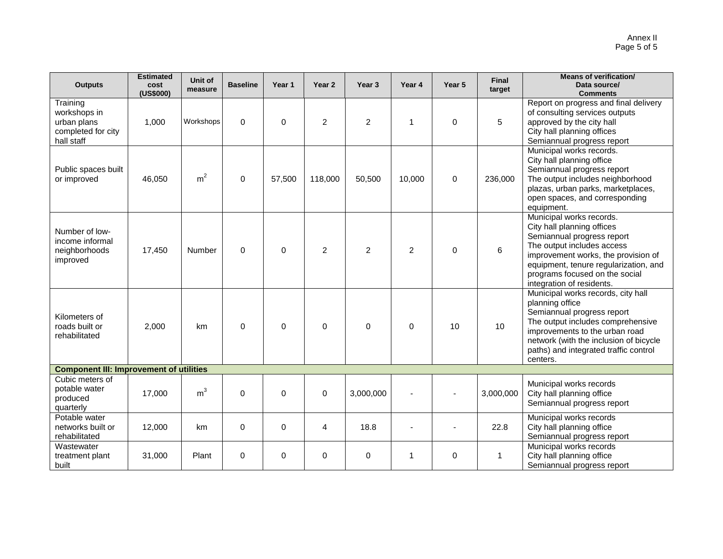| <b>Outputs</b>                                                              | <b>Estimated</b><br>cost<br>(US\$000) | Unit of<br>measure | <b>Baseline</b> | Year 1   | Year <sub>2</sub> | Year 3         | Year 4         | Year 5      | <b>Final</b><br>target | <b>Means of verification/</b><br>Data source/<br><b>Comments</b>                                                                                                                                                                                                  |
|-----------------------------------------------------------------------------|---------------------------------------|--------------------|-----------------|----------|-------------------|----------------|----------------|-------------|------------------------|-------------------------------------------------------------------------------------------------------------------------------------------------------------------------------------------------------------------------------------------------------------------|
| Training<br>workshops in<br>urban plans<br>completed for city<br>hall staff | 1,000                                 | Workshops          | $\overline{0}$  | $\Omega$ | $\overline{2}$    | $\overline{2}$ | 1              | $\mathbf 0$ | 5                      | Report on progress and final delivery<br>of consulting services outputs<br>approved by the city hall<br>City hall planning offices<br>Semiannual progress report                                                                                                  |
| Public spaces built<br>or improved                                          | 46,050                                | m <sup>2</sup>     | 0               | 57,500   | 118,000           | 50,500         | 10,000         | $\mathbf 0$ | 236,000                | Municipal works records.<br>City hall planning office<br>Semiannual progress report<br>The output includes neighborhood<br>plazas, urban parks, marketplaces,<br>open spaces, and corresponding<br>equipment.                                                     |
| Number of low-<br>income informal<br>neighborhoods<br>improved              | 17,450                                | Number             | $\mathbf{0}$    | $\Omega$ | $\overline{2}$    | 2              | $\overline{2}$ | $\mathbf 0$ | 6                      | Municipal works records.<br>City hall planning offices<br>Semiannual progress report<br>The output includes access<br>improvement works, the provision of<br>equipment, tenure regularization, and<br>programs focused on the social<br>integration of residents. |
| Kilometers of<br>roads built or<br>rehabilitated                            | 2,000                                 | km                 | $\mathbf{0}$    | $\Omega$ | $\Omega$          | $\mathbf 0$    | 0              | 10          | 10                     | Municipal works records, city hall<br>planning office<br>Semiannual progress report<br>The output includes comprehensive<br>improvements to the urban road<br>network (with the inclusion of bicycle<br>paths) and integrated traffic control<br>centers.         |
| <b>Component III: Improvement of utilities</b>                              |                                       |                    |                 |          |                   |                |                |             |                        |                                                                                                                                                                                                                                                                   |
| Cubic meters of<br>potable water<br>produced<br>quarterly                   | 17,000                                | m <sup>3</sup>     | 0               | $\Omega$ | $\Omega$          | 3,000,000      |                |             | 3,000,000              | Municipal works records<br>City hall planning office<br>Semiannual progress report                                                                                                                                                                                |
| Potable water<br>networks built or<br>rehabilitated                         | 12,000                                | km                 | 0               | $\Omega$ | 4                 | 18.8           |                |             | 22.8                   | Municipal works records<br>City hall planning office<br>Semiannual progress report                                                                                                                                                                                |
| Wastewater<br>treatment plant<br>built                                      | 31,000                                | Plant              | 0               | $\Omega$ | 0                 | 0              | 1              | $\mathbf 0$ | 1                      | Municipal works records<br>City hall planning office<br>Semiannual progress report                                                                                                                                                                                |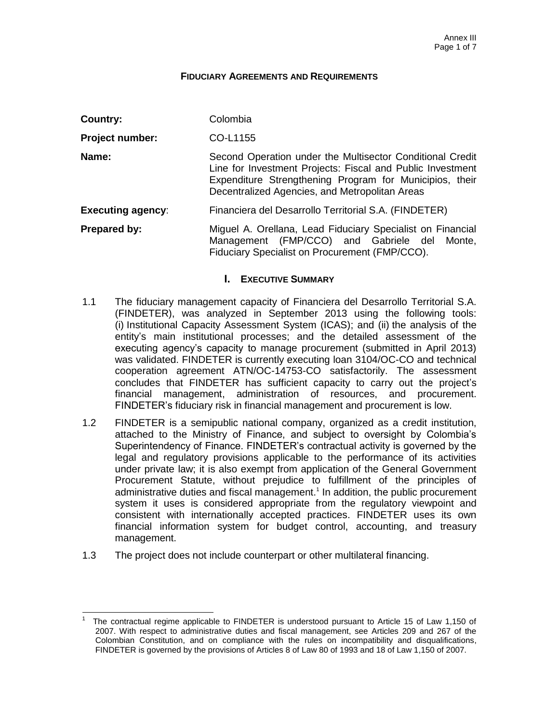#### **FIDUCIARY AGREEMENTS AND REQUIREMENTS**

| Country:                 | Colombia                                                                                                                                                                                                                             |  |  |  |  |  |
|--------------------------|--------------------------------------------------------------------------------------------------------------------------------------------------------------------------------------------------------------------------------------|--|--|--|--|--|
| Project number:          | CO-L1155                                                                                                                                                                                                                             |  |  |  |  |  |
| Name:                    | Second Operation under the Multisector Conditional Credit<br>Line for Investment Projects: Fiscal and Public Investment<br>Expenditure Strengthening Program for Municipios, their<br>Decentralized Agencies, and Metropolitan Areas |  |  |  |  |  |
| <b>Executing agency:</b> | Financiera del Desarrollo Territorial S.A. (FINDETER)                                                                                                                                                                                |  |  |  |  |  |
| <b>Prepared by:</b>      | Miguel A. Orellana, Lead Fiduciary Specialist on Financial<br>Management (FMP/CCO) and Gabriele del Monte,<br>Fiduciary Specialist on Procurement (FMP/CCO).                                                                         |  |  |  |  |  |

### **I. EXECUTIVE SUMMARY**

- 1.1 The fiduciary management capacity of Financiera del Desarrollo Territorial S.A. (FINDETER), was analyzed in September 2013 using the following tools: (i) Institutional Capacity Assessment System (ICAS); and (ii) the analysis of the entity's main institutional processes; and the detailed assessment of the executing agency's capacity to manage procurement (submitted in April 2013) was validated. FINDETER is currently executing loan 3104/OC-CO and technical cooperation agreement ATN/OC-14753-CO satisfactorily. The assessment concludes that FINDETER has sufficient capacity to carry out the project's financial management, administration of resources, and procurement. FINDETER's fiduciary risk in financial management and procurement is low.
- 1.2 FINDETER is a semipublic national company, organized as a credit institution, attached to the Ministry of Finance, and subject to oversight by Colombia's Superintendency of Finance. FINDETER's contractual activity is governed by the legal and regulatory provisions applicable to the performance of its activities under private law; it is also exempt from application of the General Government Procurement Statute, without prejudice to fulfillment of the principles of administrative duties and fiscal management.<sup>1</sup> In addition, the public procurement system it uses is considered appropriate from the regulatory viewpoint and consistent with internationally accepted practices. FINDETER uses its own financial information system for budget control, accounting, and treasury management.
- 1.3 The project does not include counterpart or other multilateral financing.

 $\overline{a}$ 1 The contractual regime applicable to FINDETER is understood pursuant to Article 15 of Law 1,150 of 2007. With respect to administrative duties and fiscal management, see Articles 209 and 267 of the Colombian Constitution, and on compliance with the rules on incompatibility and disqualifications, FINDETER is governed by the provisions of Articles 8 of Law 80 of 1993 and 18 of Law 1,150 of 2007.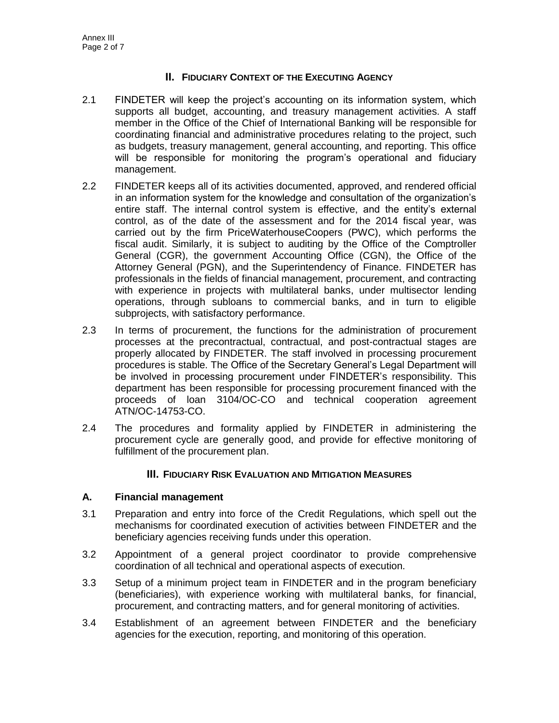# **II. FIDUCIARY CONTEXT OF THE EXECUTING AGENCY**

- 2.1 FINDETER will keep the project's accounting on its information system, which supports all budget, accounting, and treasury management activities. A staff member in the Office of the Chief of International Banking will be responsible for coordinating financial and administrative procedures relating to the project, such as budgets, treasury management, general accounting, and reporting. This office will be responsible for monitoring the program's operational and fiduciary management.
- 2.2 FINDETER keeps all of its activities documented, approved, and rendered official in an information system for the knowledge and consultation of the organization's entire staff. The internal control system is effective, and the entity's external control, as of the date of the assessment and for the 2014 fiscal year, was carried out by the firm PriceWaterhouseCoopers (PWC), which performs the fiscal audit. Similarly, it is subject to auditing by the Office of the Comptroller General (CGR), the government Accounting Office (CGN), the Office of the Attorney General (PGN), and the Superintendency of Finance. FINDETER has professionals in the fields of financial management, procurement, and contracting with experience in projects with multilateral banks, under multisector lending operations, through subloans to commercial banks, and in turn to eligible subprojects, with satisfactory performance.
- 2.3 In terms of procurement, the functions for the administration of procurement processes at the precontractual, contractual, and post-contractual stages are properly allocated by FINDETER. The staff involved in processing procurement procedures is stable. The Office of the Secretary General's Legal Department will be involved in processing procurement under FINDETER's responsibility. This department has been responsible for processing procurement financed with the proceeds of loan 3104/OC-CO and technical cooperation agreement ATN/OC-14753-CO.
- 2.4 The procedures and formality applied by FINDETER in administering the procurement cycle are generally good, and provide for effective monitoring of fulfillment of the procurement plan.

# **III. FIDUCIARY RISK EVALUATION AND MITIGATION MEASURES**

## **A. Financial management**

- 3.1 Preparation and entry into force of the Credit Regulations, which spell out the mechanisms for coordinated execution of activities between FINDETER and the beneficiary agencies receiving funds under this operation.
- 3.2 Appointment of a general project coordinator to provide comprehensive coordination of all technical and operational aspects of execution.
- 3.3 Setup of a minimum project team in FINDETER and in the program beneficiary (beneficiaries), with experience working with multilateral banks, for financial, procurement, and contracting matters, and for general monitoring of activities.
- 3.4 Establishment of an agreement between FINDETER and the beneficiary agencies for the execution, reporting, and monitoring of this operation.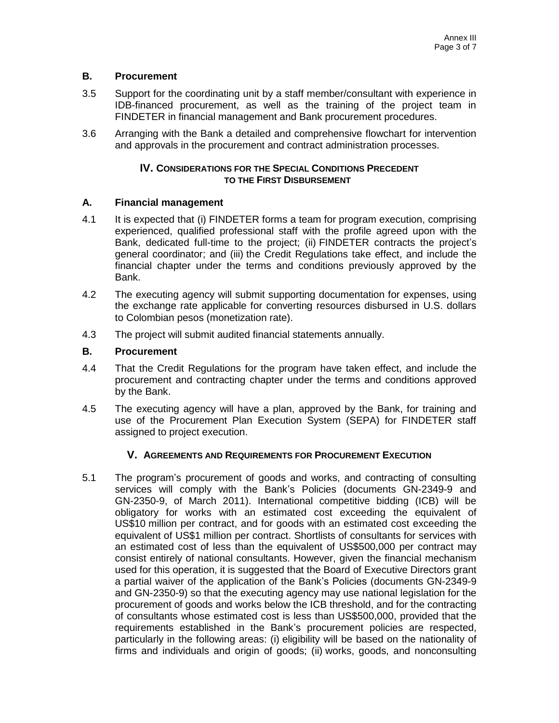### **B. Procurement**

- 3.5 Support for the coordinating unit by a staff member/consultant with experience in IDB-financed procurement, as well as the training of the project team in FINDETER in financial management and Bank procurement procedures.
- 3.6 Arranging with the Bank a detailed and comprehensive flowchart for intervention and approvals in the procurement and contract administration processes.

### **IV. CONSIDERATIONS FOR THE SPECIAL CONDITIONS PRECEDENT TO THE FIRST DISBURSEMENT**

### **A. Financial management**

- 4.1 It is expected that (i) FINDETER forms a team for program execution, comprising experienced, qualified professional staff with the profile agreed upon with the Bank, dedicated full-time to the project; (ii) FINDETER contracts the project's general coordinator; and (iii) the Credit Regulations take effect, and include the financial chapter under the terms and conditions previously approved by the Bank.
- 4.2 The executing agency will submit supporting documentation for expenses, using the exchange rate applicable for converting resources disbursed in U.S. dollars to Colombian pesos (monetization rate).
- 4.3 The project will submit audited financial statements annually.

### **B. Procurement**

- 4.4 That the Credit Regulations for the program have taken effect, and include the procurement and contracting chapter under the terms and conditions approved by the Bank.
- 4.5 The executing agency will have a plan, approved by the Bank, for training and use of the Procurement Plan Execution System (SEPA) for FINDETER staff assigned to project execution.

### **V. AGREEMENTS AND REQUIREMENTS FOR PROCUREMENT EXECUTION**

5.1 The program's procurement of goods and works, and contracting of consulting services will comply with the Bank's Policies (documents GN-2349-9 and GN-2350-9, of March 2011). International competitive bidding (ICB) will be obligatory for works with an estimated cost exceeding the equivalent of US\$10 million per contract, and for goods with an estimated cost exceeding the equivalent of US\$1 million per contract. Shortlists of consultants for services with an estimated cost of less than the equivalent of US\$500,000 per contract may consist entirely of national consultants. However, given the financial mechanism used for this operation, it is suggested that the Board of Executive Directors grant a partial waiver of the application of the Bank's Policies (documents GN-2349-9 and GN-2350-9) so that the executing agency may use national legislation for the procurement of goods and works below the ICB threshold, and for the contracting of consultants whose estimated cost is less than US\$500,000, provided that the requirements established in the Bank's procurement policies are respected, particularly in the following areas: (i) eligibility will be based on the nationality of firms and individuals and origin of goods; (ii) works, goods, and nonconsulting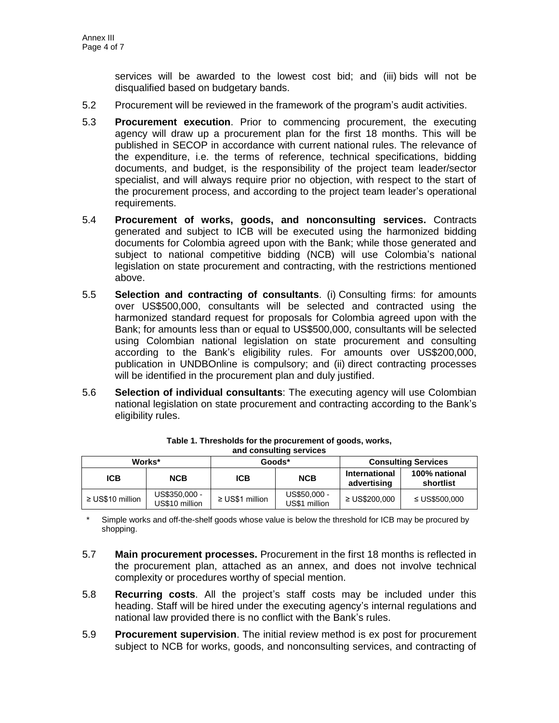services will be awarded to the lowest cost bid; and (iii) bids will not be disqualified based on budgetary bands.

- 5.2 Procurement will be reviewed in the framework of the program's audit activities.
- 5.3 **Procurement execution**. Prior to commencing procurement, the executing agency will draw up a procurement plan for the first 18 months. This will be published in SECOP in accordance with current national rules. The relevance of the expenditure, i.e. the terms of reference, technical specifications, bidding documents, and budget, is the responsibility of the project team leader/sector specialist, and will always require prior no objection, with respect to the start of the procurement process, and according to the project team leader's operational requirements.
- 5.4 **Procurement of works, goods, and nonconsulting services.** Contracts generated and subject to ICB will be executed using the harmonized bidding documents for Colombia agreed upon with the Bank; while those generated and subject to national competitive bidding (NCB) will use Colombia's national legislation on state procurement and contracting, with the restrictions mentioned above.
- 5.5 **Selection and contracting of consultants**. (i) Consulting firms: for amounts over US\$500,000, consultants will be selected and contracted using the harmonized standard request for proposals for Colombia agreed upon with the Bank; for amounts less than or equal to US\$500,000, consultants will be selected using Colombian national legislation on state procurement and consulting according to the Bank's eligibility rules. For amounts over US\$200,000, publication in UNDBOnline is compulsory; and (ii) direct contracting processes will be identified in the procurement plan and duly justified.
- 5.6 **Selection of individual consultants**: The executing agency will use Colombian national legislation on state procurement and contracting according to the Bank's eligibility rules.

|                       | Works*                          |                      | Goods*                        | <b>Consulting Services</b>          |                            |  |
|-----------------------|---------------------------------|----------------------|-------------------------------|-------------------------------------|----------------------------|--|
| <b>ICB</b>            | <b>NCB</b>                      |                      | <b>NCB</b>                    | <b>International</b><br>advertising | 100% national<br>shortlist |  |
| $\geq$ US\$10 million | US\$350,000 -<br>US\$10 million | $\geq$ US\$1 million | US\$50,000 -<br>US\$1 million | $\geq$ US\$200,000                  | ≤ US\$500,000              |  |

**Table 1. Thresholds for the procurement of goods, works, and consulting services**

Simple works and off-the-shelf goods whose value is below the threshold for ICB may be procured by shopping.

- 5.7 **Main procurement processes.** Procurement in the first 18 months is reflected in the procurement plan, attached as an annex, and does not involve technical complexity or procedures worthy of special mention.
- 5.8 **Recurring costs**. All the project's staff costs may be included under this heading. Staff will be hired under the executing agency's internal regulations and national law provided there is no conflict with the Bank's rules.
- 5.9 **Procurement supervision**. The initial review method is ex post for procurement subject to NCB for works, goods, and nonconsulting services, and contracting of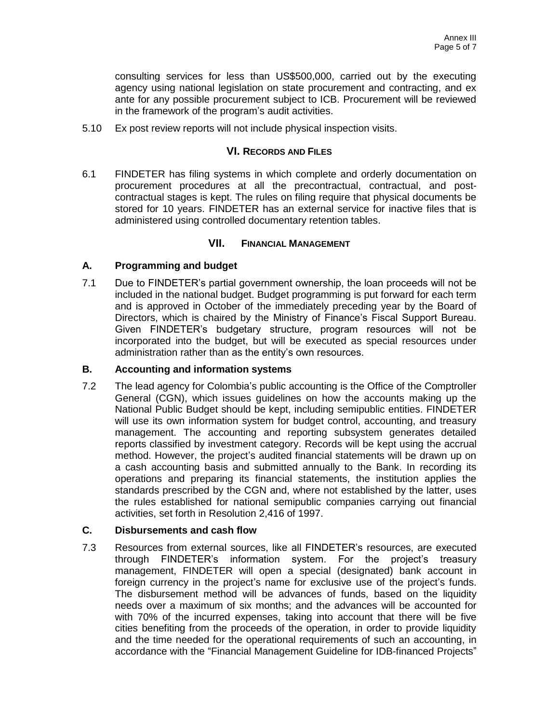consulting services for less than US\$500,000, carried out by the executing agency using national legislation on state procurement and contracting, and ex ante for any possible procurement subject to ICB. Procurement will be reviewed in the framework of the program's audit activities.

5.10 Ex post review reports will not include physical inspection visits.

## **VI. RECORDS AND FILES**

6.1 FINDETER has filing systems in which complete and orderly documentation on procurement procedures at all the precontractual, contractual, and postcontractual stages is kept. The rules on filing require that physical documents be stored for 10 years. FINDETER has an external service for inactive files that is administered using controlled documentary retention tables.

## **VII. FINANCIAL MANAGEMENT**

## **A. Programming and budget**

7.1 Due to FINDETER's partial government ownership, the loan proceeds will not be included in the national budget. Budget programming is put forward for each term and is approved in October of the immediately preceding year by the Board of Directors, which is chaired by the Ministry of Finance's Fiscal Support Bureau. Given FINDETER's budgetary structure, program resources will not be incorporated into the budget, but will be executed as special resources under administration rather than as the entity's own resources.

### **B. Accounting and information systems**

7.2 The lead agency for Colombia's public accounting is the Office of the Comptroller General (CGN), which issues guidelines on how the accounts making up the National Public Budget should be kept, including semipublic entities. FINDETER will use its own information system for budget control, accounting, and treasury management. The accounting and reporting subsystem generates detailed reports classified by investment category. Records will be kept using the accrual method. However, the project's audited financial statements will be drawn up on a cash accounting basis and submitted annually to the Bank. In recording its operations and preparing its financial statements, the institution applies the standards prescribed by the CGN and, where not established by the latter, uses the rules established for national semipublic companies carrying out financial activities, set forth in Resolution 2,416 of 1997.

### **C. Disbursements and cash flow**

7.3 Resources from external sources, like all FINDETER's resources, are executed through FINDETER's information system. For the project's treasury management, FINDETER will open a special (designated) bank account in foreign currency in the project's name for exclusive use of the project's funds. The disbursement method will be advances of funds, based on the liquidity needs over a maximum of six months; and the advances will be accounted for with 70% of the incurred expenses, taking into account that there will be five cities benefiting from the proceeds of the operation, in order to provide liquidity and the time needed for the operational requirements of such an accounting, in accordance with the "Financial Management Guideline for IDB-financed Projects"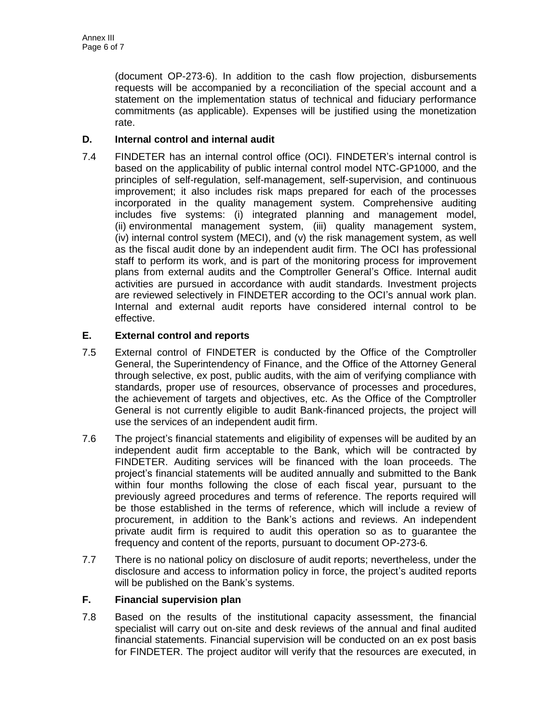(document OP-273-6). In addition to the cash flow projection, disbursements requests will be accompanied by a reconciliation of the special account and a statement on the implementation status of technical and fiduciary performance commitments (as applicable). Expenses will be justified using the monetization rate.

# **D. Internal control and internal audit**

7.4 FINDETER has an internal control office (OCI). FINDETER's internal control is based on the applicability of public internal control model NTC-GP1000, and the principles of self-regulation, self-management, self-supervision, and continuous improvement; it also includes risk maps prepared for each of the processes incorporated in the quality management system. Comprehensive auditing includes five systems: (i) integrated planning and management model, (ii) environmental management system, (iii) quality management system, (iv) internal control system (MECI), and (v) the risk management system, as well as the fiscal audit done by an independent audit firm. The OCI has professional staff to perform its work, and is part of the monitoring process for improvement plans from external audits and the Comptroller General's Office. Internal audit activities are pursued in accordance with audit standards. Investment projects are reviewed selectively in FINDETER according to the OCI's annual work plan. Internal and external audit reports have considered internal control to be effective.

# **E. External control and reports**

- 7.5 External control of FINDETER is conducted by the Office of the Comptroller General, the Superintendency of Finance, and the Office of the Attorney General through selective, ex post, public audits, with the aim of verifying compliance with standards, proper use of resources, observance of processes and procedures, the achievement of targets and objectives, etc. As the Office of the Comptroller General is not currently eligible to audit Bank-financed projects, the project will use the services of an independent audit firm.
- 7.6 The project's financial statements and eligibility of expenses will be audited by an independent audit firm acceptable to the Bank, which will be contracted by FINDETER. Auditing services will be financed with the loan proceeds. The project's financial statements will be audited annually and submitted to the Bank within four months following the close of each fiscal year, pursuant to the previously agreed procedures and terms of reference. The reports required will be those established in the terms of reference, which will include a review of procurement, in addition to the Bank's actions and reviews. An independent private audit firm is required to audit this operation so as to guarantee the frequency and content of the reports, pursuant to document OP-273-6*.*
- 7.7 There is no national policy on disclosure of audit reports; nevertheless, under the disclosure and access to information policy in force, the project's audited reports will be published on the Bank's systems.

# **F. Financial supervision plan**

7.8 Based on the results of the institutional capacity assessment, the financial specialist will carry out on-site and desk reviews of the annual and final audited financial statements. Financial supervision will be conducted on an ex post basis for FINDETER. The project auditor will verify that the resources are executed, in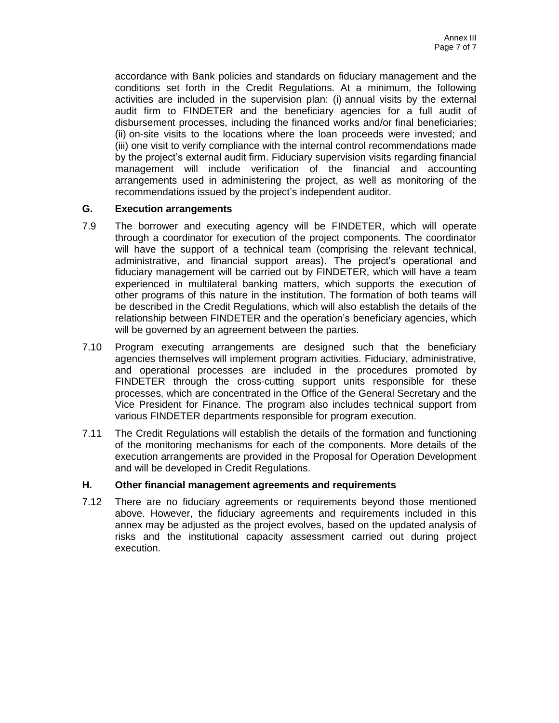accordance with Bank policies and standards on fiduciary management and the conditions set forth in the Credit Regulations. At a minimum, the following activities are included in the supervision plan: (i) annual visits by the external audit firm to FINDETER and the beneficiary agencies for a full audit of disbursement processes, including the financed works and/or final beneficiaries; (ii) on-site visits to the locations where the loan proceeds were invested; and (iii) one visit to verify compliance with the internal control recommendations made by the project's external audit firm. Fiduciary supervision visits regarding financial management will include verification of the financial and accounting arrangements used in administering the project, as well as monitoring of the recommendations issued by the project's independent auditor.

### **G. Execution arrangements**

- 7.9 The borrower and executing agency will be FINDETER, which will operate through a coordinator for execution of the project components. The coordinator will have the support of a technical team (comprising the relevant technical, administrative, and financial support areas). The project's operational and fiduciary management will be carried out by FINDETER, which will have a team experienced in multilateral banking matters, which supports the execution of other programs of this nature in the institution. The formation of both teams will be described in the Credit Regulations, which will also establish the details of the relationship between FINDETER and the operation's beneficiary agencies, which will be governed by an agreement between the parties.
- 7.10 Program executing arrangements are designed such that the beneficiary agencies themselves will implement program activities. Fiduciary, administrative, and operational processes are included in the procedures promoted by FINDETER through the cross-cutting support units responsible for these processes, which are concentrated in the Office of the General Secretary and the Vice President for Finance. The program also includes technical support from various FINDETER departments responsible for program execution.
- 7.11 The Credit Regulations will establish the details of the formation and functioning of the monitoring mechanisms for each of the components. More details of the execution arrangements are provided in the Proposal for Operation Development and will be developed in Credit Regulations.

### **H. Other financial management agreements and requirements**

7.12 There are no fiduciary agreements or requirements beyond those mentioned above. However, the fiduciary agreements and requirements included in this annex may be adjusted as the project evolves, based on the updated analysis of risks and the institutional capacity assessment carried out during project execution.